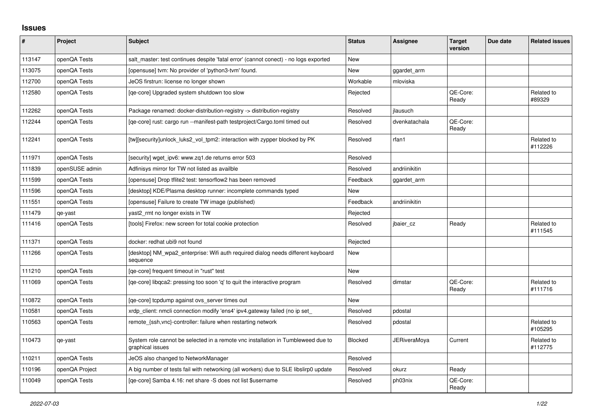## **Issues**

| ∦      | Project        | <b>Subject</b>                                                                                       | <b>Status</b> | Assignee      | <b>Target</b><br>version | Due date | <b>Related issues</b> |
|--------|----------------|------------------------------------------------------------------------------------------------------|---------------|---------------|--------------------------|----------|-----------------------|
| 113147 | openQA Tests   | salt_master: test continues despite 'fatal error' (cannot conect) - no logs exported                 | New           |               |                          |          |                       |
| 113075 | openQA Tests   | [opensuse] tvm: No provider of 'python3-tvm' found.                                                  | <b>New</b>    | ggardet arm   |                          |          |                       |
| 112700 | openQA Tests   | JeOS firstrun: license no longer shown                                                               | Workable      | mloviska      |                          |          |                       |
| 112580 | openQA Tests   | [ge-core] Upgraded system shutdown too slow                                                          | Rejected      |               | QE-Core:<br>Ready        |          | Related to<br>#89329  |
| 112262 | openQA Tests   | Package renamed: docker-distribution-registry -> distribution-registry                               | Resolved      | jlausuch      |                          |          |                       |
| 112244 | openQA Tests   | [qe-core] rust: cargo run --manifest-path testproject/Cargo.toml timed out                           | Resolved      | dvenkatachala | QE-Core:<br>Ready        |          |                       |
| 112241 | openQA Tests   | [tw][security]unlock_luks2_vol_tpm2: interaction with zypper blocked by PK                           | Resolved      | rfan1         |                          |          | Related to<br>#112226 |
| 111971 | openQA Tests   | [security] wget ipv6: www.zq1.de returns error 503                                                   | Resolved      |               |                          |          |                       |
| 111839 | openSUSE admin | Adfinisys mirror for TW not listed as availble                                                       | Resolved      | andriinikitin |                          |          |                       |
| 111599 | openQA Tests   | [opensuse] Drop tflite2 test: tensorflow2 has been removed                                           | Feedback      | ggardet_arm   |                          |          |                       |
| 111596 | openQA Tests   | [desktop] KDE/Plasma desktop runner: incomplete commands typed                                       | New           |               |                          |          |                       |
| 111551 | openQA Tests   | [opensuse] Failure to create TW image (published)                                                    | Feedback      | andriinikitin |                          |          |                       |
| 111479 | qe-yast        | yast2 rmt no longer exists in TW                                                                     | Rejected      |               |                          |          |                       |
| 111416 | openQA Tests   | [tools] Firefox: new screen for total cookie protection                                              | Resolved      | jbaier_cz     | Ready                    |          | Related to<br>#111545 |
| 111371 | openQA Tests   | docker: redhat ubi9 not found                                                                        | Rejected      |               |                          |          |                       |
| 111266 | openQA Tests   | [desktop] NM_wpa2_enterprise: Wifi auth required dialog needs different keyboard<br>sequence         | New           |               |                          |          |                       |
| 111210 | openQA Tests   | [ge-core] frequent timeout in "rust" test                                                            | <b>New</b>    |               |                          |          |                       |
| 111069 | openQA Tests   | [qe-core] libqca2: pressing too soon 'q' to quit the interactive program                             | Resolved      | dimstar       | QE-Core:<br>Ready        |          | Related to<br>#111716 |
| 110872 | openQA Tests   | [ge-core] tcpdump against ovs server times out                                                       | New           |               |                          |          |                       |
| 110581 | openQA Tests   | xrdp_client: nmcli connection modify 'ens4' ipv4.gateway failed (no ip set_                          | Resolved      | pdostal       |                          |          |                       |
| 110563 | openQA Tests   | remote {ssh, vnc}-controller: failure when restarting network                                        | Resolved      | pdostal       |                          |          | Related to<br>#105295 |
| 110473 | qe-yast        | System role cannot be selected in a remote vnc installation in Tumbleweed due to<br>graphical issues | Blocked       | JERiveraMoya  | Current                  |          | Related to<br>#112775 |
| 110211 | openQA Tests   | JeOS also changed to NetworkManager                                                                  | Resolved      |               |                          |          |                       |
| 110196 | openQA Project | A big number of tests fail with networking (all workers) due to SLE libslirp0 update                 | Resolved      | okurz         | Ready                    |          |                       |
| 110049 | openQA Tests   | [ge-core] Samba 4.16: net share -S does not list \$username                                          | Resolved      | ph03nix       | QE-Core:<br>Ready        |          |                       |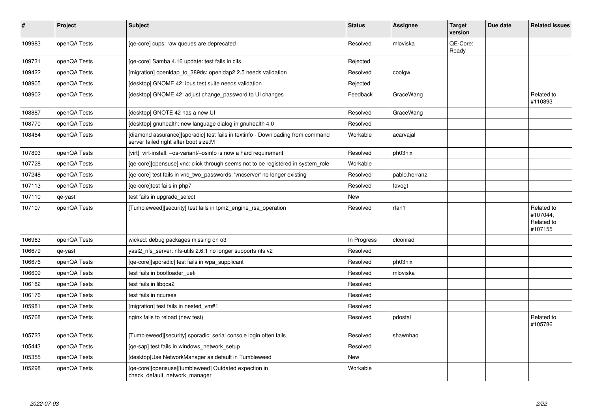| $\pmb{\sharp}$ | Project      | <b>Subject</b>                                                                                                           | <b>Status</b> | <b>Assignee</b> | <b>Target</b><br>version | Due date | <b>Related issues</b>                           |
|----------------|--------------|--------------------------------------------------------------------------------------------------------------------------|---------------|-----------------|--------------------------|----------|-------------------------------------------------|
| 109983         | openQA Tests | [ge-core] cups: raw queues are deprecated                                                                                | Resolved      | mloviska        | QE-Core:<br>Ready        |          |                                                 |
| 109731         | openQA Tests | [ge-core] Samba 4.16 update: test fails in cifs                                                                          | Rejected      |                 |                          |          |                                                 |
| 109422         | openQA Tests | [migration] openIdap to 389ds: openIdap2 2.5 needs validation                                                            | Resolved      | coolgw          |                          |          |                                                 |
| 108905         | openQA Tests | [desktop] GNOME 42: ibus test suite needs validation                                                                     | Rejected      |                 |                          |          |                                                 |
| 108902         | openQA Tests | [desktop] GNOME 42: adjust change_password to UI changes                                                                 | Feedback      | GraceWang       |                          |          | Related to<br>#110893                           |
| 108887         | openQA Tests | Idesktopl GNOTE 42 has a new UI                                                                                          | Resolved      | GraceWang       |                          |          |                                                 |
| 108770         | openQA Tests | [desktop] gnuhealth: new language dialog in gnuhealth 4.0                                                                | Resolved      |                 |                          |          |                                                 |
| 108464         | openQA Tests | [diamond assurance][sporadic] test fails in textinfo - Downloading from command<br>server failed right after boot size:M | Workable      | acarvajal       |                          |          |                                                 |
| 107893         | openQA Tests | [virt] virt-install: -os-variant/-osinfo is now a hard requirement                                                       | Resolved      | ph03nix         |                          |          |                                                 |
| 107728         | openQA Tests | [ge-core][opensuse] vnc: click through seems not to be registered in system role                                         | Workable      |                 |                          |          |                                                 |
| 107248         | openQA Tests | [ge-core] test fails in vnc two passwords: 'vncserver' no longer existing                                                | Resolved      | pablo.herranz   |                          |          |                                                 |
| 107113         | openQA Tests | [qe-core]test fails in php7                                                                                              | Resolved      | favogt          |                          |          |                                                 |
| 107110         | qe-yast      | test fails in upgrade select                                                                                             | <b>New</b>    |                 |                          |          |                                                 |
| 107107         | openQA Tests | [Tumbleweed][security] test fails in tpm2_engine_rsa_operation                                                           | Resolved      | rfan1           |                          |          | Related to<br>#107044,<br>Related to<br>#107155 |
| 106963         | openQA Tests | wicked: debug packages missing on o3                                                                                     | In Progress   | cfconrad        |                          |          |                                                 |
| 106679         | qe-yast      | yast2_nfs_server: nfs-utils 2.6.1 no longer supports nfs v2                                                              | Resolved      |                 |                          |          |                                                 |
| 106676         | openQA Tests | [qe-core][sporadic] test fails in wpa_supplicant                                                                         | Resolved      | ph03nix         |                          |          |                                                 |
| 106609         | openQA Tests | test fails in bootloader uefi                                                                                            | Resolved      | mloviska        |                          |          |                                                 |
| 106182         | openQA Tests | test fails in libgca2                                                                                                    | Resolved      |                 |                          |          |                                                 |
| 106176         | openQA Tests | test fails in ncurses                                                                                                    | Resolved      |                 |                          |          |                                                 |
| 105981         | openQA Tests | [migration] test fails in nested_vm#1                                                                                    | Resolved      |                 |                          |          |                                                 |
| 105768         | openQA Tests | nginx fails to reload (new test)                                                                                         | Resolved      | pdostal         |                          |          | Related to<br>#105786                           |
| 105723         | openQA Tests | [Tumbleweed][security] sporadic: serial console login often fails                                                        | Resolved      | shawnhao        |                          |          |                                                 |
| 105443         | openQA Tests | [ge-sap] test fails in windows network setup                                                                             | Resolved      |                 |                          |          |                                                 |
| 105355         | openQA Tests | [desktop]Use NetworkManager as default in Tumbleweed                                                                     | <b>New</b>    |                 |                          |          |                                                 |
| 105298         | openQA Tests | [qe-core][opensuse][tumbleweed] Outdated expection in<br>check default network manager                                   | Workable      |                 |                          |          |                                                 |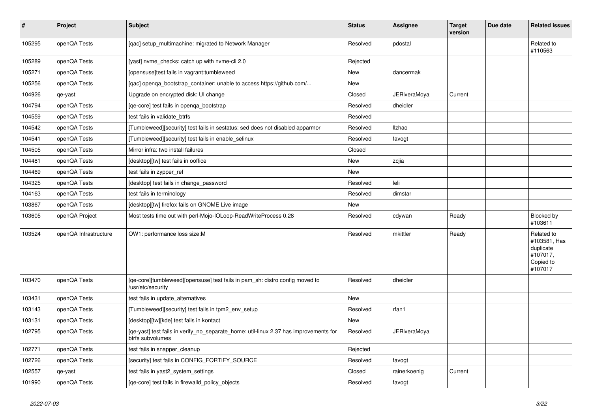| $\vert$ # | Project               | Subject                                                                                                   | <b>Status</b> | <b>Assignee</b>     | <b>Target</b><br>version | Due date | <b>Related issues</b>                                                       |
|-----------|-----------------------|-----------------------------------------------------------------------------------------------------------|---------------|---------------------|--------------------------|----------|-----------------------------------------------------------------------------|
| 105295    | openQA Tests          | [gac] setup multimachine: migrated to Network Manager                                                     | Resolved      | pdostal             |                          |          | Related to<br>#110563                                                       |
| 105289    | openQA Tests          | [yast] nyme checks: catch up with nyme-cli 2.0                                                            | Rejected      |                     |                          |          |                                                                             |
| 105271    | openQA Tests          | [opensuse]test fails in vagrant:tumbleweed                                                                | <b>New</b>    | dancermak           |                          |          |                                                                             |
| 105256    | openQA Tests          | [qac] openqa_bootstrap_container: unable to access https://github.com/                                    | <b>New</b>    |                     |                          |          |                                                                             |
| 104926    | qe-yast               | Upgrade on encrypted disk: UI change                                                                      | Closed        | <b>JERiveraMoya</b> | Current                  |          |                                                                             |
| 104794    | openQA Tests          | [qe-core] test fails in openqa_bootstrap                                                                  | Resolved      | dheidler            |                          |          |                                                                             |
| 104559    | openQA Tests          | test fails in validate_btrfs                                                                              | Resolved      |                     |                          |          |                                                                             |
| 104542    | openQA Tests          | [Tumbleweed][security] test fails in sestatus: sed does not disabled apparmor                             | Resolved      | <b>Ilzhao</b>       |                          |          |                                                                             |
| 104541    | openQA Tests          | [Tumbleweed][security] test fails in enable_selinux                                                       | Resolved      | favogt              |                          |          |                                                                             |
| 104505    | openQA Tests          | Mirror infra: two install failures                                                                        | Closed        |                     |                          |          |                                                                             |
| 104481    | openQA Tests          | [desktop][tw] test fails in ooffice                                                                       | New           | zcjia               |                          |          |                                                                             |
| 104469    | openQA Tests          | test fails in zypper ref                                                                                  | New           |                     |                          |          |                                                                             |
| 104325    | openQA Tests          | [desktop] test fails in change password                                                                   | Resolved      | leli                |                          |          |                                                                             |
| 104163    | openQA Tests          | test fails in terminology                                                                                 | Resolved      | dimstar             |                          |          |                                                                             |
| 103867    | openQA Tests          | [desktop][tw] firefox fails on GNOME Live image                                                           | New           |                     |                          |          |                                                                             |
| 103605    | openQA Project        | Most tests time out with perl-Mojo-IOLoop-ReadWriteProcess 0.28                                           | Resolved      | cdywan              | Ready                    |          | Blocked by<br>#103611                                                       |
| 103524    | openQA Infrastructure | OW1: performance loss size:M                                                                              | Resolved      | mkittler            | Ready                    |          | Related to<br>#103581, Has<br>duplicate<br>#107017,<br>Copied to<br>#107017 |
| 103470    | openQA Tests          | [ge-core][tumbleweed][opensuse] test fails in pam sh: distro config moved to<br>/usr/etc/security         | Resolved      | dheidler            |                          |          |                                                                             |
| 103431    | openQA Tests          | test fails in update alternatives                                                                         | <b>New</b>    |                     |                          |          |                                                                             |
| 103143    | openQA Tests          | [Tumbleweed][security] test fails in tpm2_env_setup                                                       | Resolved      | rfan1               |                          |          |                                                                             |
| 103131    | openQA Tests          | [desktop][tw][kde] test fails in kontact                                                                  | New           |                     |                          |          |                                                                             |
| 102795    | openQA Tests          | [qe-yast] test fails in verify_no_separate_home: util-linux 2.37 has improvements for<br>btrfs subvolumes | Resolved      | <b>JERiveraMoya</b> |                          |          |                                                                             |
| 102771    | openQA Tests          | test fails in snapper_cleanup                                                                             | Rejected      |                     |                          |          |                                                                             |
| 102726    | openQA Tests          | [security] test fails in CONFIG FORTIFY SOURCE                                                            | Resolved      | favogt              |                          |          |                                                                             |
| 102557    | qe-yast               | test fails in yast2_system_settings                                                                       | Closed        | rainerkoenig        | Current                  |          |                                                                             |
| 101990    | openQA Tests          | [ge-core] test fails in firewalld policy objects                                                          | Resolved      | favogt              |                          |          |                                                                             |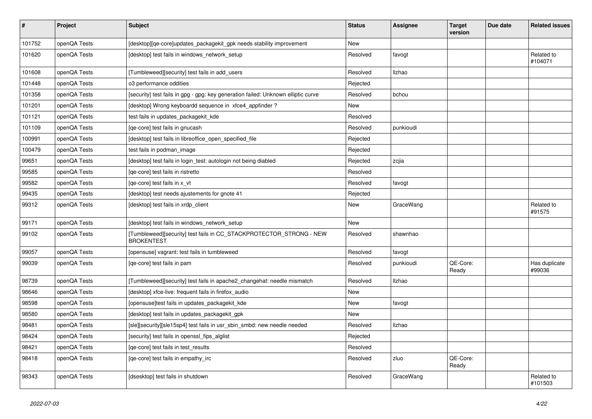| #      | <b>Project</b> | <b>Subject</b>                                                                           | <b>Status</b> | Assignee  | <b>Target</b><br>version | Due date | <b>Related issues</b>   |
|--------|----------------|------------------------------------------------------------------------------------------|---------------|-----------|--------------------------|----------|-------------------------|
| 101752 | openQA Tests   | [desktop][qe-core]updates_packagekit_gpk needs stability improvement                     | <b>New</b>    |           |                          |          |                         |
| 101620 | openQA Tests   | [desktop] test fails in windows_network_setup                                            | Resolved      | favogt    |                          |          | Related to<br>#104071   |
| 101608 | openQA Tests   | [Tumbleweed][security] test fails in add users                                           | Resolved      | Ilzhao    |                          |          |                         |
| 101448 | openQA Tests   | o3 performance oddities                                                                  | Rejected      |           |                          |          |                         |
| 101358 | openQA Tests   | [security] test fails in gpg - gpg: key generation failed: Unknown elliptic curve        | Resolved      | bchou     |                          |          |                         |
| 101201 | openQA Tests   | [desktop] Wrong keyboardd sequence in xfce4_appfinder?                                   | <b>New</b>    |           |                          |          |                         |
| 101121 | openQA Tests   | test fails in updates_packagekit_kde                                                     | Resolved      |           |                          |          |                         |
| 101109 | openQA Tests   | [qe-core] test fails in gnucash                                                          | Resolved      | punkioudi |                          |          |                         |
| 100991 | openQA Tests   | [desktop] test fails in libreoffice_open_specified_file                                  | Rejected      |           |                          |          |                         |
| 100479 | openQA Tests   | test fails in podman image                                                               | Rejected      |           |                          |          |                         |
| 99651  | openQA Tests   | [desktop] test fails in login test: autologin not being diabled                          | Rejected      | zcjia     |                          |          |                         |
| 99585  | openQA Tests   | [ge-core] test fails in ristretto                                                        | Resolved      |           |                          |          |                         |
| 99582  | openQA Tests   | [qe-core] test fails in x_vt                                                             | Resolved      | favogt    |                          |          |                         |
| 99435  | openQA Tests   | desktop] test needs ajustements for gnote 41                                             | Rejected      |           |                          |          |                         |
| 99312  | openQA Tests   | (desktop) test fails in xrdp client                                                      | New           | GraceWang |                          |          | Related to<br>#91575    |
| 99171  | openQA Tests   | desktop] test fails in windows network setup                                             | <b>New</b>    |           |                          |          |                         |
| 99102  | openQA Tests   | [Tumbleweed][security] test fails in CC STACKPROTECTOR STRONG - NEW<br><b>BROKENTEST</b> | Resolved      | shawnhao  |                          |          |                         |
| 99057  | openQA Tests   | [opensuse] vagrant: test fails in tumbleweed                                             | Resolved      | favogt    |                          |          |                         |
| 99039  | openQA Tests   | [ge-core] test fails in pam                                                              | Resolved      | punkioudi | QE-Core:<br>Ready        |          | Has duplicate<br>#99036 |
| 98739  | openQA Tests   | [Tumbleweed][security] test fails in apache2 changehat: needle mismatch                  | Resolved      | Ilzhao    |                          |          |                         |
| 98646  | openQA Tests   | [desktop] xfce-live: frequent fails in firefox_audio                                     | <b>New</b>    |           |                          |          |                         |
| 98598  | openQA Tests   | [opensuse]test fails in updates_packagekit_kde                                           | <b>New</b>    | favogt    |                          |          |                         |
| 98580  | openQA Tests   | desktop] test fails in updates packagekit gpk                                            | New           |           |                          |          |                         |
| 98481  | openQA Tests   | [sle][security][sle15sp4] test fails in usr sbin smbd: new needle needed                 | Resolved      | Ilzhao    |                          |          |                         |
| 98424  | openQA Tests   | [security] test fails in openssl_fips_alglist                                            | Rejected      |           |                          |          |                         |
| 98421  | openQA Tests   | [ge-core] test fails in test results                                                     | Resolved      |           |                          |          |                         |
| 98418  | openQA Tests   | [qe-core] test fails in empathy_irc                                                      | Resolved      | zluo      | QE-Core:<br>Ready        |          |                         |
| 98343  | openQA Tests   | [dsesktop] test fails in shutdown                                                        | Resolved      | GraceWang |                          |          | Related to<br>#101503   |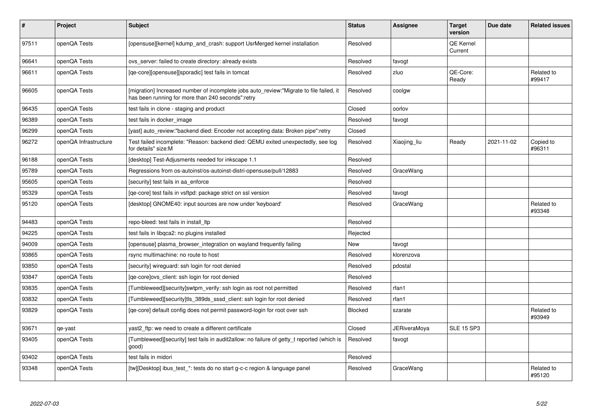| #     | Project               | <b>Subject</b>                                                                                                                               | <b>Status</b> | Assignee     | <b>Target</b><br>version | Due date   | <b>Related issues</b> |
|-------|-----------------------|----------------------------------------------------------------------------------------------------------------------------------------------|---------------|--------------|--------------------------|------------|-----------------------|
| 97511 | openQA Tests          | [opensuse][kernel] kdump and crash: support UsrMerged kernel installation                                                                    | Resolved      |              | QE Kernel<br>Current     |            |                       |
| 96641 | openQA Tests          | ovs_server: failed to create directory: already exists                                                                                       | Resolved      | favogt       |                          |            |                       |
| 96611 | openQA Tests          | [qe-core][opensuse][sporadic] test fails in tomcat                                                                                           | Resolved      | zluo         | QE-Core:<br>Ready        |            | Related to<br>#99417  |
| 96605 | openQA Tests          | [migration] Increased number of incomplete jobs auto review:"Migrate to file failed, it<br>has been running for more than 240 seconds":retry | Resolved      | coolgw       |                          |            |                       |
| 96435 | openQA Tests          | test fails in clone - staging and product                                                                                                    | Closed        | oorlov       |                          |            |                       |
| 96389 | openQA Tests          | test fails in docker image                                                                                                                   | Resolved      | favogt       |                          |            |                       |
| 96299 | openQA Tests          | [yast] auto review:"backend died: Encoder not accepting data: Broken pipe":retry                                                             | Closed        |              |                          |            |                       |
| 96272 | openQA Infrastructure | Test failed incomplete: "Reason: backend died: QEMU exited unexpectedly, see log<br>for details" size:M                                      | Resolved      | Xiaojing liu | Ready                    | 2021-11-02 | Copied to<br>#96311   |
| 96188 | openQA Tests          | [desktop] Test-Adjusments needed for inkscape 1.1                                                                                            | Resolved      |              |                          |            |                       |
| 95789 | openQA Tests          | Regressions from os-autoinst/os-autoinst-distri-opensuse/pull/12883                                                                          | Resolved      | GraceWang    |                          |            |                       |
| 95605 | openQA Tests          | [security] test fails in aa enforce                                                                                                          | Resolved      |              |                          |            |                       |
| 95329 | openQA Tests          | [qe-core] test fails in vsftpd: package strict on ssl version                                                                                | Resolved      | favogt       |                          |            |                       |
| 95120 | openQA Tests          | [desktop] GNOME40: input sources are now under 'keyboard'                                                                                    | Resolved      | GraceWang    |                          |            | Related to<br>#93348  |
| 94483 | openQA Tests          | repo-bleed: test fails in install Itp                                                                                                        | Resolved      |              |                          |            |                       |
| 94225 | openQA Tests          | test fails in libgca2: no plugins installed                                                                                                  | Rejected      |              |                          |            |                       |
| 94009 | openQA Tests          | [opensuse] plasma browser integration on wayland frequently failing                                                                          | <b>New</b>    | favogt       |                          |            |                       |
| 93865 | openQA Tests          | rsync multimachine: no route to host                                                                                                         | Resolved      | klorenzova   |                          |            |                       |
| 93850 | openQA Tests          | [security] wireguard: ssh login for root denied                                                                                              | Resolved      | pdostal      |                          |            |                       |
| 93847 | openQA Tests          | ge-core lovs client: ssh login for root denied                                                                                               | Resolved      |              |                          |            |                       |
| 93835 | openQA Tests          | [Tumbleweed][security]swtpm_verify: ssh login as root not permitted                                                                          | Resolved      | rfan1        |                          |            |                       |
| 93832 | openQA Tests          | [Tumbleweed][security]tls_389ds_sssd_client: ssh login for root denied                                                                       | Resolved      | rfan1        |                          |            |                       |
| 93829 | openQA Tests          | [qe-core] default config does not permit password-login for root over ssh                                                                    | Blocked       | szarate      |                          |            | Related to<br>#93949  |
| 93671 | qe-yast               | yast2 ftp: we need to create a different certificate                                                                                         | Closed        | JERiveraMoya | <b>SLE 15 SP3</b>        |            |                       |
| 93405 | openQA Tests          | [Tumbleweed][security] test fails in audit2allow: no failure of getty t reported (which is<br>good)                                          | Resolved      | favogt       |                          |            |                       |
| 93402 | openQA Tests          | test fails in midori                                                                                                                         | Resolved      |              |                          |            |                       |
| 93348 | openQA Tests          | [tw][Desktop] ibus_test_*: tests do no start g-c-c region & language panel                                                                   | Resolved      | GraceWang    |                          |            | Related to<br>#95120  |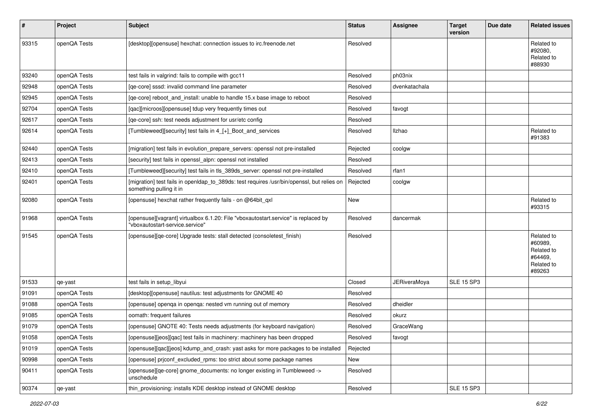| #     | Project      | <b>Subject</b>                                                                                                        | <b>Status</b> | <b>Assignee</b>     | <b>Target</b><br>version | Due date | <b>Related issues</b>                                                  |
|-------|--------------|-----------------------------------------------------------------------------------------------------------------------|---------------|---------------------|--------------------------|----------|------------------------------------------------------------------------|
| 93315 | openQA Tests | [desktop][opensuse] hexchat: connection issues to irc.freenode.net                                                    | Resolved      |                     |                          |          | Related to<br>#92080,<br>Related to<br>#88930                          |
| 93240 | openQA Tests | test fails in valgrind: fails to compile with gcc11                                                                   | Resolved      | ph03nix             |                          |          |                                                                        |
| 92948 | openQA Tests | [qe-core] sssd: invalid command line parameter                                                                        | Resolved      | dvenkatachala       |                          |          |                                                                        |
| 92945 | openQA Tests | [qe-core] reboot_and_install: unable to handle 15.x base image to reboot                                              | Resolved      |                     |                          |          |                                                                        |
| 92704 | openQA Tests | [qac][microos][opensuse] tdup very frequently times out                                                               | Resolved      | favogt              |                          |          |                                                                        |
| 92617 | openQA Tests | [qe-core] ssh: test needs adjustment for usr/etc config                                                               | Resolved      |                     |                          |          |                                                                        |
| 92614 | openQA Tests | [Tumbleweed][security] test fails in 4_[+]_Boot_and_services                                                          | Resolved      | Ilzhao              |                          |          | Related to<br>#91383                                                   |
| 92440 | openQA Tests | [migration] test fails in evolution_prepare_servers: openssl not pre-installed                                        | Rejected      | coolgw              |                          |          |                                                                        |
| 92413 | openQA Tests | [security] test fails in openssl alpn: openssl not installed                                                          | Resolved      |                     |                          |          |                                                                        |
| 92410 | openQA Tests | [Tumbleweed][security] test fails in tls_389ds_server: openssl not pre-installed                                      | Resolved      | rfan1               |                          |          |                                                                        |
| 92401 | openQA Tests | [migration] test fails in openIdap_to_389ds: test requires /usr/bin/openssl, but relies on<br>something pulling it in | Rejected      | coolgw              |                          |          |                                                                        |
| 92080 | openQA Tests | [opensuse] hexchat rather frequently fails - on @64bit_qxl                                                            | <b>New</b>    |                     |                          |          | Related to<br>#93315                                                   |
| 91968 | openQA Tests | [opensuse][vagrant] virtualbox 6.1.20: File "vboxautostart.service" is replaced by<br>"vboxautostart-service.service" | Resolved      | dancermak           |                          |          |                                                                        |
| 91545 | openQA Tests | [opensuse][qe-core] Upgrade tests: stall detected (consoletest_finish)                                                | Resolved      |                     |                          |          | Related to<br>#60989,<br>Related to<br>#64469.<br>Related to<br>#89263 |
| 91533 | qe-yast      | test fails in setup libyui                                                                                            | Closed        | <b>JERiveraMoya</b> | <b>SLE 15 SP3</b>        |          |                                                                        |
| 91091 | openQA Tests | [desktop][opensuse] nautilus: test adjustments for GNOME 40                                                           | Resolved      |                     |                          |          |                                                                        |
| 91088 | openQA Tests | [opensuse] openga in openga: nested vm running out of memory                                                          | Resolved      | dheidler            |                          |          |                                                                        |
| 91085 | openQA Tests | oomath: frequent failures                                                                                             | Resolved      | okurz               |                          |          |                                                                        |
| 91079 | openQA Tests | [opensuse] GNOTE 40: Tests needs adjustments (for keyboard navigation)                                                | Resolved      | GraceWang           |                          |          |                                                                        |
| 91058 | openQA Tests | [opensuse][jeos][qac] test fails in machinery: machinery has been dropped                                             | Resolved      | tavogt              |                          |          |                                                                        |
| 91019 | openQA Tests | [opensuse][qac][jeos] kdump_and_crash: yast asks for more packages to be installed                                    | Rejected      |                     |                          |          |                                                                        |
| 90998 | openQA Tests | [opensuse] prjconf_excluded_rpms: too strict about some package names                                                 | New           |                     |                          |          |                                                                        |
| 90411 | openQA Tests | [opensuse][qe-core] gnome_documents: no longer existing in Tumbleweed -><br>unschedule                                | Resolved      |                     |                          |          |                                                                        |
| 90374 | qe-yast      | thin provisioning: installs KDE desktop instead of GNOME desktop                                                      | Resolved      |                     | SLE 15 SP3               |          |                                                                        |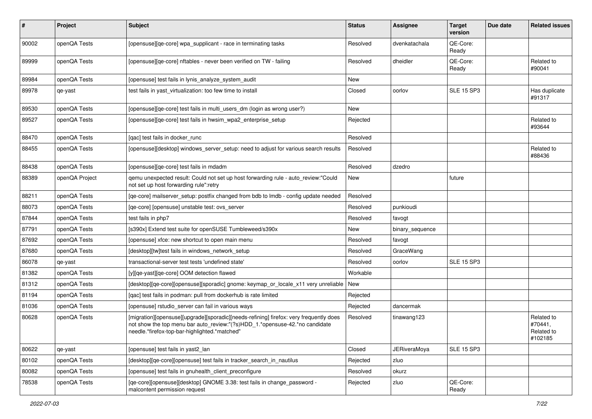| #     | Project        | <b>Subject</b>                                                                                                                                                                                                         | <b>Status</b> | <b>Assignee</b>     | <b>Target</b><br>version | Due date | <b>Related issues</b>                          |
|-------|----------------|------------------------------------------------------------------------------------------------------------------------------------------------------------------------------------------------------------------------|---------------|---------------------|--------------------------|----------|------------------------------------------------|
| 90002 | openQA Tests   | [opensuse][qe-core] wpa_supplicant - race in terminating tasks                                                                                                                                                         | Resolved      | dvenkatachala       | QE-Core:<br>Ready        |          |                                                |
| 89999 | openQA Tests   | [opensuse][qe-core] nftables - never been verified on TW - failing                                                                                                                                                     | Resolved      | dheidler            | QE-Core:<br>Ready        |          | Related to<br>#90041                           |
| 89984 | openQA Tests   | [opensuse] test fails in lynis analyze system audit                                                                                                                                                                    | New           |                     |                          |          |                                                |
| 89978 | qe-yast        | test fails in yast_virtualization: too few time to install                                                                                                                                                             | Closed        | oorlov              | <b>SLE 15 SP3</b>        |          | Has duplicate<br>#91317                        |
| 89530 | openQA Tests   | [opensuse][qe-core] test fails in multi_users_dm (login as wrong user?)                                                                                                                                                | <b>New</b>    |                     |                          |          |                                                |
| 89527 | openQA Tests   | [opensuse][qe-core] test fails in hwsim_wpa2_enterprise_setup                                                                                                                                                          | Rejected      |                     |                          |          | Related to<br>#93644                           |
| 88470 | openQA Tests   | [qac] test fails in docker_runc                                                                                                                                                                                        | Resolved      |                     |                          |          |                                                |
| 88455 | openQA Tests   | [opensuse][desktop] windows_server_setup: need to adjust for various search results                                                                                                                                    | Resolved      |                     |                          |          | Related to<br>#88436                           |
| 88438 | openQA Tests   | [opensuse][qe-core] test fails in mdadm                                                                                                                                                                                | Resolved      | dzedro              |                          |          |                                                |
| 88389 | openQA Project | gemu unexpected result: Could not set up host forwarding rule - auto_review:"Could<br>not set up host forwarding rule":retry                                                                                           | New           |                     | future                   |          |                                                |
| 88211 | openQA Tests   | [qe-core] mailserver_setup: postfix changed from bdb to lmdb - config update needed                                                                                                                                    | Resolved      |                     |                          |          |                                                |
| 88073 | openQA Tests   | [ge-core] [opensuse] unstable test: ovs server                                                                                                                                                                         | Resolved      | punkioudi           |                          |          |                                                |
| 87844 | openQA Tests   | test fails in php7                                                                                                                                                                                                     | Resolved      | favogt              |                          |          |                                                |
| 87791 | openQA Tests   | [s390x] Extend test suite for openSUSE Tumbleweed/s390x                                                                                                                                                                | <b>New</b>    | binary_sequence     |                          |          |                                                |
| 87692 | openQA Tests   | [opensuse] xfce: new shortcut to open main menu                                                                                                                                                                        | Resolved      | favogt              |                          |          |                                                |
| 87680 | openQA Tests   | [desktop][tw]test fails in windows_network_setup                                                                                                                                                                       | Resolved      | GraceWang           |                          |          |                                                |
| 86078 | qe-yast        | transactional-server test tests 'undefined state'                                                                                                                                                                      | Resolved      | oorlov              | <b>SLE 15 SP3</b>        |          |                                                |
| 81382 | openQA Tests   | [y][qe-yast][qe-core] OOM detection flawed                                                                                                                                                                             | Workable      |                     |                          |          |                                                |
| 81312 | openQA Tests   | [desktop][qe-core][opensuse][sporadic] gnome: keymap_or_locale_x11 very unreliable                                                                                                                                     | <b>New</b>    |                     |                          |          |                                                |
| 81194 | openQA Tests   | [qac] test fails in podman: pull from dockerhub is rate limited                                                                                                                                                        | Rejected      |                     |                          |          |                                                |
| 81036 | openQA Tests   | [opensuse] rstudio_server can fail in various ways                                                                                                                                                                     | Rejected      | dancermak           |                          |          |                                                |
| 80628 | openQA Tests   | [migration][opensuse][upgrade][sporadic][needs-refining] firefox: very frequently does<br>not show the top menu bar auto review:"(?s)HDD 1.*opensuse-42.*no candidate<br>needle.*firefox-top-bar-highlighted.*matched" | Resolved      | tinawang123         |                          |          | Related to<br>#70441.<br>Related to<br>#102185 |
| 80622 | qe-yast        | [opensuse] test fails in yast2_lan                                                                                                                                                                                     | Closed        | <b>JERiveraMoya</b> | <b>SLE 15 SP3</b>        |          |                                                |
| 80102 | openQA Tests   | [desktop][qe-core][opensuse] test fails in tracker_search_in_nautilus                                                                                                                                                  | Rejected      | zluo                |                          |          |                                                |
| 80082 | openQA Tests   | [opensuse] test fails in gnuhealth_client_preconfigure                                                                                                                                                                 | Resolved      | okurz               |                          |          |                                                |
| 78538 | openQA Tests   | [qe-core][opensuse][desktop] GNOME 3.38: test fails in change_password -<br>malcontent permission request                                                                                                              | Rejected      | zluo                | QE-Core:<br>Ready        |          |                                                |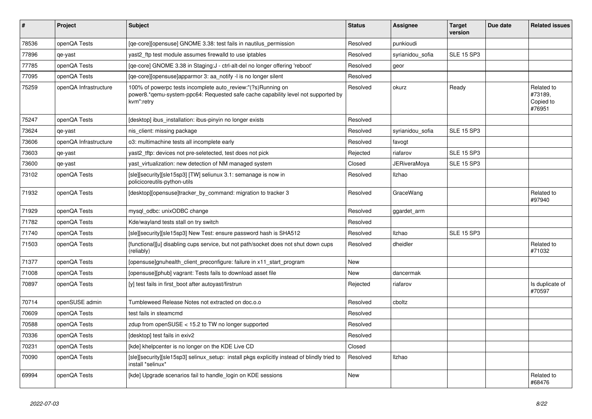| #     | <b>Project</b>        | <b>Subject</b>                                                                                                                                                  | <b>Status</b> | Assignee            | <b>Target</b><br>version | Due date | <b>Related issues</b>                        |
|-------|-----------------------|-----------------------------------------------------------------------------------------------------------------------------------------------------------------|---------------|---------------------|--------------------------|----------|----------------------------------------------|
| 78536 | openQA Tests          | [qe-core][opensuse] GNOME 3.38: test fails in nautilus_permission                                                                                               | Resolved      | punkioudi           |                          |          |                                              |
| 77896 | qe-yast               | yast2 ftp test module assumes firewalld to use iptables                                                                                                         | Resolved      | syrianidou sofia    | <b>SLE 15 SP3</b>        |          |                                              |
| 77785 | openQA Tests          | [qe-core] GNOME 3.38 in Staging:J - ctrl-alt-del no longer offering 'reboot'                                                                                    | Resolved      | geor                |                          |          |                                              |
| 77095 | openQA Tests          | [ge-core][opensuse]apparmor 3: aa notify -l is no longer silent                                                                                                 | Resolved      |                     |                          |          |                                              |
| 75259 | openQA Infrastructure | 100% of powerpc tests incomplete auto review:"(?s)Running on<br>power8.*qemu-system-ppc64: Requested safe cache capability level not supported by<br>kvm":retry | Resolved      | okurz               | Ready                    |          | Related to<br>#73189.<br>Copied to<br>#76951 |
| 75247 | openQA Tests          | desktop] ibus installation: ibus-pinyin no longer exists                                                                                                        | Resolved      |                     |                          |          |                                              |
| 73624 | qe-yast               | nis client: missing package                                                                                                                                     | Resolved      | syrianidou sofia    | <b>SLE 15 SP3</b>        |          |                                              |
| 73606 | openQA Infrastructure | o3: multimachine tests all incomplete early                                                                                                                     | Resolved      | favogt              |                          |          |                                              |
| 73603 | qe-yast               | yast2 tftp: devices not pre-seletected, test does not pick                                                                                                      | Rejected      | riafarov            | <b>SLE 15 SP3</b>        |          |                                              |
| 73600 | qe-yast               | yast virtualization: new detection of NM managed system                                                                                                         | Closed        | <b>JERiveraMoya</b> | <b>SLE 15 SP3</b>        |          |                                              |
| 73102 | openQA Tests          | [sle][security][sle15sp3] [TW] seliunux 3.1: semanage is now in<br>policicoreutils-python-utils                                                                 | Resolved      | <b>Ilzhao</b>       |                          |          |                                              |
| 71932 | openQA Tests          | [desktop][opensuse]tracker_by_command: migration to tracker 3                                                                                                   | Resolved      | GraceWang           |                          |          | Related to<br>#97940                         |
| 71929 | openQA Tests          | mysql odbc: unixODBC change                                                                                                                                     | Resolved      | ggardet_arm         |                          |          |                                              |
| 71782 | openQA Tests          | Kde/wayland tests stall on try switch                                                                                                                           | Resolved      |                     |                          |          |                                              |
| 71740 | openQA Tests          | [sle][security][sle15sp3] New Test: ensure password hash is SHA512                                                                                              | Resolved      | <b>Ilzhao</b>       | <b>SLE 15 SP3</b>        |          |                                              |
| 71503 | openQA Tests          | [functional][u] disabling cups service, but not path/socket does not shut down cups<br>(reliably)                                                               | Resolved      | dheidler            |                          |          | Related to<br>#71032                         |
| 71377 | openQA Tests          | [opensuse]gnuhealth_client_preconfigure: failure in x11_start_program                                                                                           | New           |                     |                          |          |                                              |
| 71008 | openQA Tests          | [opensuse][phub] vagrant: Tests fails to download asset file                                                                                                    | New           | dancermak           |                          |          |                                              |
| 70897 | openQA Tests          | [y] test fails in first_boot after autoyast/firstrun                                                                                                            | Rejected      | riafarov            |                          |          | Is duplicate of<br>#70597                    |
| 70714 | openSUSE admin        | Tumbleweed Release Notes not extracted on doc.o.o                                                                                                               | Resolved      | cboltz              |                          |          |                                              |
| 70609 | openQA Tests          | test fails in steamcmd                                                                                                                                          | Resolved      |                     |                          |          |                                              |
| 70588 | openQA Tests          | zdup from openSUSE < 15.2 to TW no longer supported                                                                                                             | Resolved      |                     |                          |          |                                              |
| 70336 | openQA Tests          | desktop] test fails in exiv2                                                                                                                                    | Resolved      |                     |                          |          |                                              |
| 70231 | openQA Tests          | [kde] khelpcenter is no longer on the KDE Live CD                                                                                                               | Closed        |                     |                          |          |                                              |
| 70090 | openQA Tests          | [sle][security][sle15sp3] selinux_setup: install pkgs explicitly instead of blindly tried to<br>install *selinux*                                               | Resolved      | Ilzhao              |                          |          |                                              |
| 69994 | openQA Tests          | [kde] Upgrade scenarios fail to handle login on KDE sessions                                                                                                    | <b>New</b>    |                     |                          |          | Related to<br>#68476                         |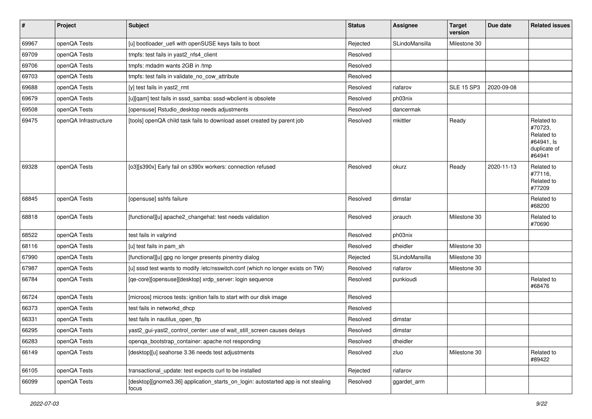| #     | Project               | Subject                                                                                    | <b>Status</b> | <b>Assignee</b> | <b>Target</b><br>version | Due date   | <b>Related issues</b>                                                       |
|-------|-----------------------|--------------------------------------------------------------------------------------------|---------------|-----------------|--------------------------|------------|-----------------------------------------------------------------------------|
| 69967 | openQA Tests          | [u] bootloader_uefi with openSUSE keys fails to boot                                       | Rejected      | SLindoMansilla  | Milestone 30             |            |                                                                             |
| 69709 | openQA Tests          | tmpfs: test fails in yast2_nfs4_client                                                     | Resolved      |                 |                          |            |                                                                             |
| 69706 | openQA Tests          | tmpfs: mdadm wants 2GB in /tmp                                                             | Resolved      |                 |                          |            |                                                                             |
| 69703 | openQA Tests          | tmpfs: test fails in validate_no_cow_attribute                                             | Resolved      |                 |                          |            |                                                                             |
| 69688 | openQA Tests          | [y] test fails in yast2_rmt                                                                | Resolved      | riafarov        | <b>SLE 15 SP3</b>        | 2020-09-08 |                                                                             |
| 69679 | openQA Tests          | [u][qam] test fails in sssd samba: sssd-wbclient is obsolete                               | Resolved      | ph03nix         |                          |            |                                                                             |
| 69508 | openQA Tests          | [opensuse] Rstudio_desktop needs adjustments                                               | Resolved      | dancermak       |                          |            |                                                                             |
| 69475 | openQA Infrastructure | [tools] openQA child task fails to download asset created by parent job                    | Resolved      | mkittler        | Ready                    |            | Related to<br>#70723,<br>Related to<br>#64941, Is<br>duplicate of<br>#64941 |
| 69328 | openQA Tests          | [03][s390x] Early fail on s390x workers: connection refused                                | Resolved      | okurz           | Ready                    | 2020-11-13 | Related to<br>#77116,<br>Related to<br>#77209                               |
| 68845 | openQA Tests          | [opensuse] sshfs failure                                                                   | Resolved      | dimstar         |                          |            | Related to<br>#68200                                                        |
| 68818 | openQA Tests          | [functional][u] apache2_changehat: test needs validation                                   | Resolved      | jorauch         | Milestone 30             |            | Related to<br>#70690                                                        |
| 68522 | openQA Tests          | test fails in valgrind                                                                     | Resolved      | ph03nix         |                          |            |                                                                             |
| 68116 | openQA Tests          | [u] test fails in pam sh                                                                   | Resolved      | dheidler        | Milestone 30             |            |                                                                             |
| 67990 | openQA Tests          | [functional][u] gpg no longer presents pinentry dialog                                     | Rejected      | SLindoMansilla  | Milestone 30             |            |                                                                             |
| 67987 | openQA Tests          | [u] sssd test wants to modify /etc/nsswitch.conf (which no longer exists on TW)            | Resolved      | riafarov        | Milestone 30             |            |                                                                             |
| 66784 | openQA Tests          | [qe-core][opensuse][desktop] xrdp_server: login sequence                                   | Resolved      | punkioudi       |                          |            | Related to<br>#68476                                                        |
| 66724 | openQA Tests          | [microos] microos tests: ignition fails to start with our disk image                       | Resolved      |                 |                          |            |                                                                             |
| 66373 | openQA Tests          | test fails in networkd_dhcp                                                                | Resolved      |                 |                          |            |                                                                             |
| 66331 | openQA Tests          | test fails in nautilus_open_ftp                                                            | Resolved      | dimstar         |                          |            |                                                                             |
| 66295 | openQA Tests          | yast2_gui-yast2_control_center: use of wait_still_screen causes delays                     | Resolved      | dimstar         |                          |            |                                                                             |
| 66283 | openQA Tests          | openga_bootstrap_container: apache not responding                                          | Resolved      | dheidler        |                          |            |                                                                             |
| 66149 | openQA Tests          | [desktop][u] seahorse 3.36 needs test adjustments                                          | Resolved      | zluo            | Milestone 30             |            | Related to<br>#89422                                                        |
| 66105 | openQA Tests          | transactional_update: test expects curl to be installed                                    | Rejected      | riafarov        |                          |            |                                                                             |
| 66099 | openQA Tests          | [desktop][gnome3.36] application_starts_on_login: autostarted app is not stealing<br>focus | Resolved      | ggardet_arm     |                          |            |                                                                             |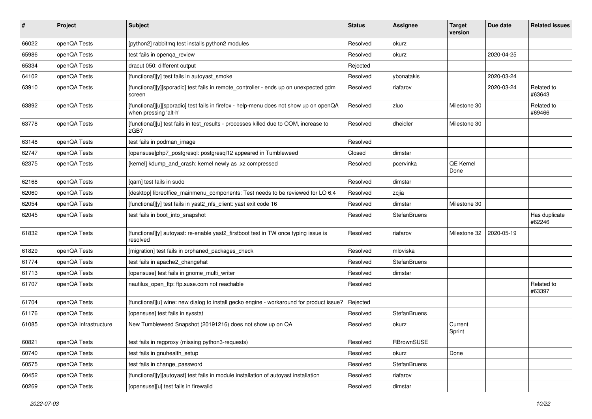| #     | Project               | <b>Subject</b>                                                                                                  | <b>Status</b> | Assignee            | <b>Target</b><br>version | Due date   | <b>Related issues</b>   |
|-------|-----------------------|-----------------------------------------------------------------------------------------------------------------|---------------|---------------------|--------------------------|------------|-------------------------|
| 66022 | openQA Tests          | [python2] rabbitmq test installs python2 modules                                                                | Resolved      | okurz               |                          |            |                         |
| 65986 | openQA Tests          | test fails in openga review                                                                                     | Resolved      | okurz               |                          | 2020-04-25 |                         |
| 65334 | openQA Tests          | dracut 050: different output                                                                                    | Rejected      |                     |                          |            |                         |
| 64102 | openQA Tests          | [functional][y] test fails in autoyast_smoke                                                                    | Resolved      | ybonatakis          |                          | 2020-03-24 |                         |
| 63910 | openQA Tests          | [functional][y][sporadic] test fails in remote controller - ends up on unexpected gdm<br>screen                 | Resolved      | riafarov            |                          | 2020-03-24 | Related to<br>#63643    |
| 63892 | openQA Tests          | [functional][u][sporadic] test fails in firefox - help-menu does not show up on openQA<br>when pressing 'alt-h' | Resolved      | zluo                | Milestone 30             |            | Related to<br>#69466    |
| 63778 | openQA Tests          | [functional][u] test fails in test_results - processes killed due to OOM, increase to<br>2GB?                   | Resolved      | dheidler            | Milestone 30             |            |                         |
| 63148 | openQA Tests          | test fails in podman_image                                                                                      | Resolved      |                     |                          |            |                         |
| 62747 | openQA Tests          | [opensuse]php7_postgresql: postgresql12 appeared in Tumbleweed                                                  | Closed        | dimstar             |                          |            |                         |
| 62375 | openQA Tests          | [kernel] kdump and crash: kernel newly as .xz compressed                                                        | Resolved      | pcervinka           | QE Kernel<br>Done        |            |                         |
| 62168 | openQA Tests          | [qam] test fails in sudo                                                                                        | Resolved      | dimstar             |                          |            |                         |
| 62060 | openQA Tests          | [desktop] libreoffice_mainmenu_components: Test needs to be reviewed for LO 6.4                                 | Resolved      | zcjia               |                          |            |                         |
| 62054 | openQA Tests          | [functional][y] test fails in yast2_nfs_client: yast exit code 16                                               | Resolved      | dimstar             | Milestone 30             |            |                         |
| 62045 | openQA Tests          | test fails in boot_into_snapshot                                                                                | Resolved      | <b>StefanBruens</b> |                          |            | Has duplicate<br>#62246 |
| 61832 | openQA Tests          | [functional][y] autoyast: re-enable yast2_firstboot test in TW once typing issue is<br>resolved                 | Resolved      | riafarov            | Milestone 32             | 2020-05-19 |                         |
| 61829 | openQA Tests          | [migration] test fails in orphaned_packages_check                                                               | Resolved      | mloviska            |                          |            |                         |
| 61774 | openQA Tests          | test fails in apache2_changehat                                                                                 | Resolved      | <b>StefanBruens</b> |                          |            |                         |
| 61713 | openQA Tests          | [opensuse] test fails in gnome_multi_writer                                                                     | Resolved      | dimstar             |                          |            |                         |
| 61707 | openQA Tests          | nautilus_open_ftp: ftp.suse.com not reachable                                                                   | Resolved      |                     |                          |            | Related to<br>#63397    |
| 61704 | openQA Tests          | [functional][u] wine: new dialog to install gecko engine - workaround for product issue?                        | Rejected      |                     |                          |            |                         |
| 61176 | openQA Tests          | [opensuse] test fails in sysstat                                                                                | Resolved      | StefanBruens        |                          |            |                         |
| 61085 | openQA Infrastructure | New Tumbleweed Snapshot (20191216) does not show up on QA                                                       | Resolved      | okurz               | Current<br>Sprint        |            |                         |
| 60821 | openQA Tests          | test fails in regproxy (missing python3-requests)                                                               | Resolved      | RBrownSUSE          |                          |            |                         |
| 60740 | openQA Tests          | test fails in gnuhealth_setup                                                                                   | Resolved      | okurz               | Done                     |            |                         |
| 60575 | openQA Tests          | test fails in change_password                                                                                   | Resolved      | <b>StefanBruens</b> |                          |            |                         |
| 60452 | openQA Tests          | [functional][y][autoyast] test fails in module installation of autoyast installation                            | Resolved      | riafarov            |                          |            |                         |
| 60269 | openQA Tests          | [opensuse][u] test fails in firewalld                                                                           | Resolved      | dimstar             |                          |            |                         |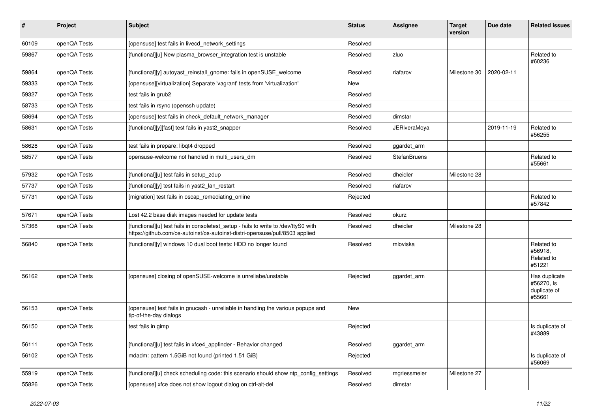| #     | Project      | <b>Subject</b>                                                                                                                                                      | <b>Status</b> | <b>Assignee</b>     | <b>Target</b><br>version | Due date   | <b>Related issues</b>                                 |
|-------|--------------|---------------------------------------------------------------------------------------------------------------------------------------------------------------------|---------------|---------------------|--------------------------|------------|-------------------------------------------------------|
| 60109 | openQA Tests | [opensuse] test fails in livecd_network_settings                                                                                                                    | Resolved      |                     |                          |            |                                                       |
| 59867 | openQA Tests | [functional][u] New plasma browser integration test is unstable                                                                                                     | Resolved      | zluo                |                          |            | Related to<br>#60236                                  |
| 59864 | openQA Tests | [functional][y] autoyast_reinstall_gnome: fails in openSUSE_welcome                                                                                                 | Resolved      | riafarov            | Milestone 30             | 2020-02-11 |                                                       |
| 59333 | openQA Tests | [opensuse][virtualization] Separate 'vagrant' tests from 'virtualization'                                                                                           | New           |                     |                          |            |                                                       |
| 59327 | openQA Tests | test fails in grub2                                                                                                                                                 | Resolved      |                     |                          |            |                                                       |
| 58733 | openQA Tests | test fails in rsync (openssh update)                                                                                                                                | Resolved      |                     |                          |            |                                                       |
| 58694 | openQA Tests | [opensuse] test fails in check_default_network_manager                                                                                                              | Resolved      | dimstar             |                          |            |                                                       |
| 58631 | openQA Tests | [functional][y][fast] test fails in yast2_snapper                                                                                                                   | Resolved      | <b>JERiveraMoya</b> |                          | 2019-11-19 | Related to<br>#56255                                  |
| 58628 | openQA Tests | test fails in prepare: libqt4 dropped                                                                                                                               | Resolved      | ggardet_arm         |                          |            |                                                       |
| 58577 | openQA Tests | opensuse-welcome not handled in multi_users_dm                                                                                                                      | Resolved      | <b>StefanBruens</b> |                          |            | Related to<br>#55661                                  |
| 57932 | openQA Tests | [functional][u] test fails in setup_zdup                                                                                                                            | Resolved      | dheidler            | Milestone 28             |            |                                                       |
| 57737 | openQA Tests | [functional][y] test fails in yast2 lan restart                                                                                                                     | Resolved      | riafarov            |                          |            |                                                       |
| 57731 | openQA Tests | [migration] test fails in oscap_remediating_online                                                                                                                  | Rejected      |                     |                          |            | Related to<br>#57842                                  |
| 57671 | openQA Tests | Lost 42.2 base disk images needed for update tests                                                                                                                  | Resolved      | okurz               |                          |            |                                                       |
| 57368 | openQA Tests | [functional][u] test fails in consoletest_setup - fails to write to /dev/ttyS0 with<br>https://github.com/os-autoinst/os-autoinst-distri-opensuse/pull/8503 applied | Resolved      | dheidler            | Milestone 28             |            |                                                       |
| 56840 | openQA Tests | [functional][y] windows 10 dual boot tests: HDD no longer found                                                                                                     | Resolved      | mloviska            |                          |            | Related to<br>#56918,<br>Related to<br>#51221         |
| 56162 | openQA Tests | [opensuse] closing of openSUSE-welcome is unreliabe/unstable                                                                                                        | Rejected      | ggardet_arm         |                          |            | Has duplicate<br>#56270, Is<br>duplicate of<br>#55661 |
| 56153 | openQA Tests | [opensuse] test fails in gnucash - unreliable in handling the various popups and<br>tip-of-the-day dialogs                                                          | New           |                     |                          |            |                                                       |
| 56150 | openQA Tests | test fails in gimp                                                                                                                                                  | Rejected      |                     |                          |            | Is duplicate of<br>#43889                             |
| 56111 | openQA Tests | [functional][u] test fails in xfce4_appfinder - Behavior changed                                                                                                    | Resolved      | ggardet_arm         |                          |            |                                                       |
| 56102 | openQA Tests | mdadm: pattern 1.5GiB not found (printed 1.51 GiB)                                                                                                                  | Rejected      |                     |                          |            | Is duplicate of<br>#56069                             |
| 55919 | openQA Tests | [functional][u] check scheduling code: this scenario should show ntp_config_settings                                                                                | Resolved      | mgriessmeier        | Milestone 27             |            |                                                       |
| 55826 | openQA Tests | [opensuse] xfce does not show logout dialog on ctrl-alt-del                                                                                                         | Resolved      | dimstar             |                          |            |                                                       |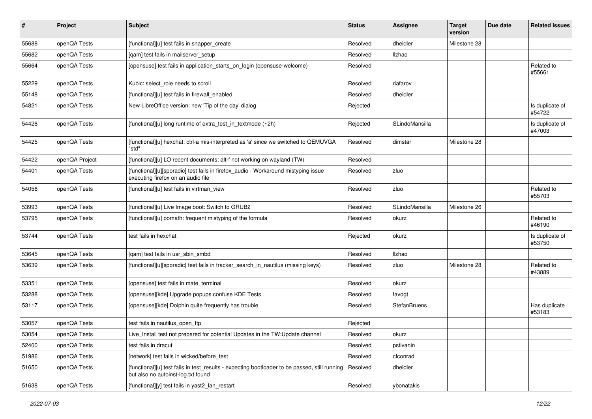| $\sharp$ | Project        | Subject                                                                                                                             | <b>Status</b> | Assignee            | <b>Target</b><br>version | Due date | <b>Related issues</b>     |
|----------|----------------|-------------------------------------------------------------------------------------------------------------------------------------|---------------|---------------------|--------------------------|----------|---------------------------|
| 55688    | openQA Tests   | [functional][u] test fails in snapper_create                                                                                        | Resolved      | dheidler            | Milestone 28             |          |                           |
| 55682    | openQA Tests   | [gam] test fails in mailserver setup                                                                                                | Resolved      | Ilzhao              |                          |          |                           |
| 55664    | openQA Tests   | [opensuse] test fails in application_starts_on_login (opensuse-welcome)                                                             | Resolved      |                     |                          |          | Related to<br>#55661      |
| 55229    | openQA Tests   | Kubic: select role needs to scroll                                                                                                  | Resolved      | riafarov            |                          |          |                           |
| 55148    | openQA Tests   | [functional][u] test fails in firewall enabled                                                                                      | Resolved      | dheidler            |                          |          |                           |
| 54821    | openQA Tests   | New LibreOffice version: new 'Tip of the day' dialog                                                                                | Rejected      |                     |                          |          | Is duplicate of<br>#54722 |
| 54428    | openQA Tests   | [functional][u] long runtime of extra_test_in_textmode (~2h)                                                                        | Rejected      | SLindoMansilla      |                          |          | Is duplicate of<br>#47003 |
| 54425    | openQA Tests   | [functional][u] hexchat: ctrl-a mis-interpreted as 'a' since we switched to QEMUVGA<br>"std"                                        | Resolved      | dimstar             | Milestone 28             |          |                           |
| 54422    | openQA Project | [functional][u] LO recent documents: alt-f not working on wayland (TW)                                                              | Resolved      |                     |                          |          |                           |
| 54401    | openQA Tests   | [functional][u][sporadic] test fails in firefox_audio - Workaround mistyping issue<br>executing firefox on an audio file            | Resolved      | zluo                |                          |          |                           |
| 54056    | openQA Tests   | [functional][u] test fails in virtman_view                                                                                          | Resolved      | zluo                |                          |          | Related to<br>#55703      |
| 53993    | openQA Tests   | [functional][u] Live Image boot: Switch to GRUB2                                                                                    | Resolved      | SLindoMansilla      | Milestone 26             |          |                           |
| 53795    | openQA Tests   | [functional][u] oomath: frequent mistyping of the formula                                                                           | Resolved      | okurz               |                          |          | Related to<br>#46190      |
| 53744    | openQA Tests   | test fails in hexchat                                                                                                               | Rejected      | okurz               |                          |          | Is duplicate of<br>#53750 |
| 53645    | openQA Tests   | [gam] test fails in usr sbin smbd                                                                                                   | Resolved      | Ilzhao              |                          |          |                           |
| 53639    | openQA Tests   | [functional][u][sporadic] test fails in tracker_search_in_nautilus (missing keys)                                                   | Resolved      | zluo                | Milestone 28             |          | Related to<br>#43889      |
| 53351    | openQA Tests   | [opensuse] test fails in mate_terminal                                                                                              | Resolved      | okurz               |                          |          |                           |
| 53288    | openQA Tests   | [opensuse][kde] Upgrade popups confuse KDE Tests                                                                                    | Resolved      | favogt              |                          |          |                           |
| 53117    | openQA Tests   | [opensuse][kde] Dolphin quite frequently has trouble                                                                                | Resolved      | <b>StefanBruens</b> |                          |          | Has duplicate<br>#53183   |
| 53057    | openQA Tests   | test fails in nautilus_open_ftp                                                                                                     | Rejected      |                     |                          |          |                           |
| 53054    | openQA Tests   | Live_Install test not prepared for potential Updates in the TW:Update channel                                                       | Resolved      | okurz               |                          |          |                           |
| 52400    | openQA Tests   | test fails in dracut                                                                                                                | Resolved      | pstivanin           |                          |          |                           |
| 51986    | openQA Tests   | [network] test fails in wicked/before test                                                                                          | Resolved      | cfconrad            |                          |          |                           |
| 51650    | openQA Tests   | [functional][u] test fails in test_results - expecting bootloader to be passed, still running<br>but also no autoinst-log.txt found | Resolved      | dheidler            |                          |          |                           |
| 51638    | openQA Tests   | [functional][y] test fails in yast2_lan_restart                                                                                     | Resolved      | ybonatakis          |                          |          |                           |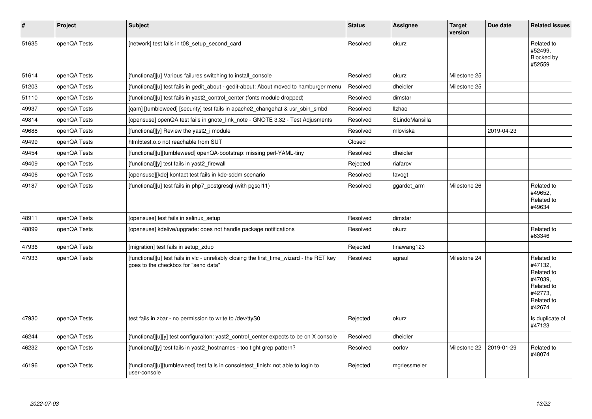| $\sharp$ | Project      | Subject                                                                                                                            | <b>Status</b> | Assignee       | <b>Target</b><br>version | Due date   | <b>Related issues</b>                                                                           |
|----------|--------------|------------------------------------------------------------------------------------------------------------------------------------|---------------|----------------|--------------------------|------------|-------------------------------------------------------------------------------------------------|
| 51635    | openQA Tests | [network] test fails in t08_setup_second_card                                                                                      | Resolved      | okurz          |                          |            | Related to<br>#52499,<br>Blocked by<br>#52559                                                   |
| 51614    | openQA Tests | [functional][u] Various failures switching to install console                                                                      | Resolved      | okurz          | Milestone 25             |            |                                                                                                 |
| 51203    | openQA Tests | [functional][u] test fails in gedit about - gedit-about: About moved to hamburger menu                                             | Resolved      | dheidler       | Milestone 25             |            |                                                                                                 |
| 51110    | openQA Tests | [functional][u] test fails in yast2 control center (fonts module dropped)                                                          | Resolved      | dimstar        |                          |            |                                                                                                 |
| 49937    | openQA Tests | [gam] [tumbleweed] [security] test fails in apache2 changehat & usr sbin smbd                                                      | Resolved      | <b>Ilzhao</b>  |                          |            |                                                                                                 |
| 49814    | openQA Tests | [opensuse] openQA test fails in gnote link note - GNOTE 3.32 - Test Adjusments                                                     | Resolved      | SLindoMansilla |                          |            |                                                                                                 |
| 49688    | openQA Tests | [functional][y] Review the yast2 i module                                                                                          | Resolved      | mloviska       |                          | 2019-04-23 |                                                                                                 |
| 49499    | openQA Tests | html5test.o.o not reachable from SUT                                                                                               | Closed        |                |                          |            |                                                                                                 |
| 49454    | openQA Tests | [functional][u][tumbleweed] openQA-bootstrap: missing perl-YAML-tiny                                                               | Resolved      | dheidler       |                          |            |                                                                                                 |
| 49409    | openQA Tests | [functional][y] test fails in yast2_firewall                                                                                       | Rejected      | riafarov       |                          |            |                                                                                                 |
| 49406    | openQA Tests | [opensuse][kde] kontact test fails in kde-sddm scenario                                                                            | Resolved      | favogt         |                          |            |                                                                                                 |
| 49187    | openQA Tests | [functional][u] test fails in php7 postgresgl (with pgsgl11)                                                                       | Resolved      | ggardet_arm    | Milestone 26             |            | Related to<br>#49652,<br>Related to<br>#49634                                                   |
| 48911    | openQA Tests | [opensuse] test fails in selinux setup                                                                                             | Resolved      | dimstar        |                          |            |                                                                                                 |
| 48899    | openQA Tests | [opensuse] kdelive/upgrade: does not handle package notifications                                                                  | Resolved      | okurz          |                          |            | Related to<br>#63346                                                                            |
| 47936    | openQA Tests | [migration] test fails in setup_zdup                                                                                               | Rejected      | tinawang123    |                          |            |                                                                                                 |
| 47933    | openQA Tests | [functional][u] test fails in vlc - unreliably closing the first_time_wizard - the RET key<br>goes to the checkbox for "send data" | Resolved      | agraul         | Milestone 24             |            | Related to<br>#47132,<br>Related to<br>#47039,<br>Related to<br>#42773,<br>Related to<br>#42674 |
| 47930    | openQA Tests | test fails in zbar - no permission to write to /dev/ttyS0                                                                          | Rejected      | okurz          |                          |            | Is duplicate of<br>#47123                                                                       |
| 46244    | openQA Tests | [functional][u][y] test configuraiton: yast2_control_center expects to be on X console                                             | Resolved      | dheidler       |                          |            |                                                                                                 |
| 46232    | openQA Tests | [functional][y] test fails in yast2_hostnames - too tight grep pattern?                                                            | Resolved      | oorlov         | Milestone 22             | 2019-01-29 | Related to<br>#48074                                                                            |
| 46196    | openQA Tests | [functional][u][tumbleweed] test fails in consoletest finish: not able to login to<br>user-console                                 | Rejected      | mgriessmeier   |                          |            |                                                                                                 |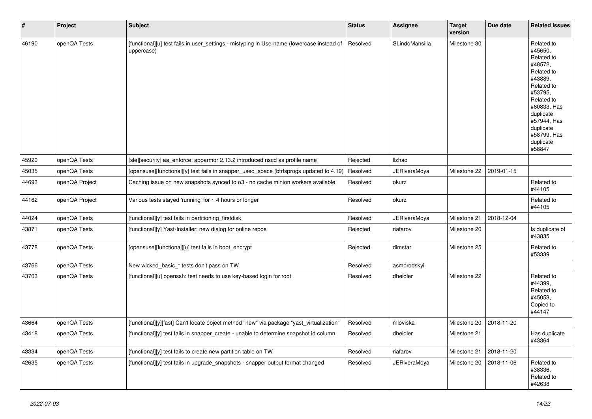| $\vert$ # | Project        | <b>Subject</b>                                                                                          | <b>Status</b> | <b>Assignee</b>     | <b>Target</b><br>version | Due date   | <b>Related issues</b>                                                                                                                                                                                        |
|-----------|----------------|---------------------------------------------------------------------------------------------------------|---------------|---------------------|--------------------------|------------|--------------------------------------------------------------------------------------------------------------------------------------------------------------------------------------------------------------|
| 46190     | openQA Tests   | [functional][u] test fails in user_settings - mistyping in Username (lowercase instead of<br>uppercase) | Resolved      | SLindoMansilla      | Milestone 30             |            | Related to<br>#45650,<br>Related to<br>#48572,<br>Related to<br>#43889,<br>Related to<br>#53795,<br>Related to<br>#60833, Has<br>duplicate<br>#57944, Has<br>duplicate<br>#58799, Has<br>duplicate<br>#58847 |
| 45920     | openQA Tests   | [sle][security] aa_enforce: apparmor 2.13.2 introduced nscd as profile name                             | Rejected      | Ilzhao              |                          |            |                                                                                                                                                                                                              |
| 45035     | openQA Tests   | [opensuse][functional][y] test fails in snapper_used_space (btrfsprogs updated to 4.19)                 | Resolved      | <b>JERiveraMoya</b> | Milestone 22             | 2019-01-15 |                                                                                                                                                                                                              |
| 44693     | openQA Project | Caching issue on new snapshots synced to o3 - no cache minion workers available                         | Resolved      | okurz               |                          |            | Related to<br>#44105                                                                                                                                                                                         |
| 44162     | openQA Project | Various tests stayed 'running' for $\sim$ 4 hours or longer                                             | Resolved      | okurz               |                          |            | Related to<br>#44105                                                                                                                                                                                         |
| 44024     | openQA Tests   | [functional][y] test fails in partitioning_firstdisk                                                    | Resolved      | <b>JERiveraMoya</b> | Milestone 21             | 2018-12-04 |                                                                                                                                                                                                              |
| 43871     | openQA Tests   | [functional][y] Yast-Installer: new dialog for online repos                                             | Rejected      | riafarov            | Milestone 20             |            | Is duplicate of<br>#43835                                                                                                                                                                                    |
| 43778     | openQA Tests   | [opensuse][functional][u] test fails in boot_encrypt                                                    | Rejected      | dimstar             | Milestone 25             |            | Related to<br>#53339                                                                                                                                                                                         |
| 43766     | openQA Tests   | New wicked_basic_* tests don't pass on TW                                                               | Resolved      | asmorodskyi         |                          |            |                                                                                                                                                                                                              |
| 43703     | openQA Tests   | [functional][u] openssh: test needs to use key-based login for root                                     | Resolved      | dheidler            | Milestone 22             |            | Related to<br>#44399,<br>Related to<br>#45053,<br>Copied to<br>#44147                                                                                                                                        |
| 43664     | openQA Tests   | [functional][y][fast] Can't locate object method "new" via package "yast_virtualization"                | Resolved      | mloviska            | Milestone 20             | 2018-11-20 |                                                                                                                                                                                                              |
| 43418     | openQA Tests   | [functional][y] test fails in snapper_create - unable to determine snapshot id column                   | Resolved      | dheidler            | Milestone 21             |            | Has duplicate<br>#43364                                                                                                                                                                                      |
| 43334     | openQA Tests   | [functional][y] test fails to create new partition table on TW                                          | Resolved      | riafarov            | Milestone 21             | 2018-11-20 |                                                                                                                                                                                                              |
| 42635     | openQA Tests   | [functional][y] test fails in upgrade_snapshots - snapper output format changed                         | Resolved      | <b>JERiveraMoya</b> | Milestone 20             | 2018-11-06 | Related to<br>#38336,<br>Related to<br>#42638                                                                                                                                                                |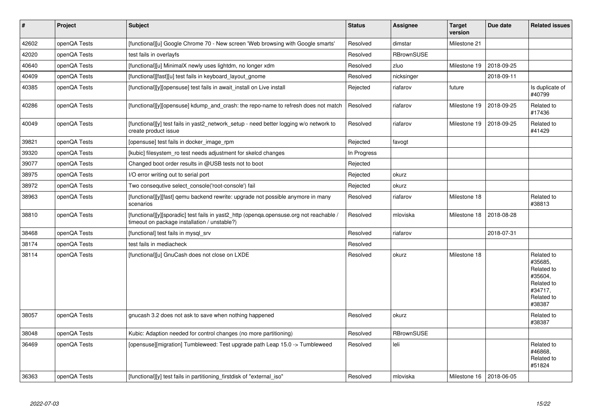| $\vert$ # | Project      | <b>Subject</b>                                                                                                                          | <b>Status</b> | Assignee          | <b>Target</b><br>version | Due date   | <b>Related issues</b>                                                                           |
|-----------|--------------|-----------------------------------------------------------------------------------------------------------------------------------------|---------------|-------------------|--------------------------|------------|-------------------------------------------------------------------------------------------------|
| 42602     | openQA Tests | [functional][u] Google Chrome 70 - New screen 'Web browsing with Google smarts'                                                         | Resolved      | dimstar           | Milestone 21             |            |                                                                                                 |
| 42020     | openQA Tests | test fails in overlayfs                                                                                                                 | Resolved      | <b>RBrownSUSE</b> |                          |            |                                                                                                 |
| 40640     | openQA Tests | [functional][u] MinimalX newly uses lightdm, no longer xdm                                                                              | Resolved      | zluo              | Milestone 19             | 2018-09-25 |                                                                                                 |
| 40409     | openQA Tests | [functional][fast][u] test fails in keyboard_layout_gnome                                                                               | Resolved      | nicksinger        |                          | 2018-09-11 |                                                                                                 |
| 40385     | openQA Tests | [functional][y][opensuse] test fails in await install on Live install                                                                   | Rejected      | riafarov          | future                   |            | Is duplicate of<br>#40799                                                                       |
| 40286     | openQA Tests | [functional][y][opensuse] kdump_and_crash: the repo-name to refresh does not match                                                      | Resolved      | riafarov          | Milestone 19             | 2018-09-25 | Related to<br>#17436                                                                            |
| 40049     | openQA Tests | [functional][y] test fails in yast2_network_setup - need better logging w/o network to<br>create product issue                          | Resolved      | riafarov          | Milestone 19             | 2018-09-25 | Related to<br>#41429                                                                            |
| 39821     | openQA Tests | [opensuse] test fails in docker image rpm                                                                                               | Rejected      | favogt            |                          |            |                                                                                                 |
| 39320     | openQA Tests | [kubic] filesystem_ro test needs adjustment for skelcd changes                                                                          | In Progress   |                   |                          |            |                                                                                                 |
| 39077     | openQA Tests | Changed boot order results in @USB tests not to boot                                                                                    | Rejected      |                   |                          |            |                                                                                                 |
| 38975     | openQA Tests | I/O error writing out to serial port                                                                                                    | Rejected      | okurz             |                          |            |                                                                                                 |
| 38972     | openQA Tests | Two consegutive select console ('root-console') fail                                                                                    | Rejected      | okurz             |                          |            |                                                                                                 |
| 38963     | openQA Tests | [functional][y][fast] gemu backend rewrite: upgrade not possible anymore in many<br>scenarios                                           | Resolved      | riafarov          | Milestone 18             |            | Related to<br>#38813                                                                            |
| 38810     | openQA Tests | [functional][y][sporadic] test fails in yast2_http (openqa.opensuse.org not reachable /<br>timeout on package installation / unstable?) | Resolved      | mloviska          | Milestone 18             | 2018-08-28 |                                                                                                 |
| 38468     | openQA Tests | [functional] test fails in mysql srv                                                                                                    | Resolved      | riafarov          |                          | 2018-07-31 |                                                                                                 |
| 38174     | openQA Tests | test fails in mediacheck                                                                                                                | Resolved      |                   |                          |            |                                                                                                 |
| 38114     | openQA Tests | [functional][u] GnuCash does not close on LXDE                                                                                          | Resolved      | okurz             | Milestone 18             |            | Related to<br>#35685.<br>Related to<br>#35604.<br>Related to<br>#34717,<br>Related to<br>#38387 |
| 38057     | openQA Tests | gnucash 3.2 does not ask to save when nothing happened                                                                                  | Resolved      | okurz             |                          |            | Related to<br>#38387                                                                            |
| 38048     | openQA Tests | Kubic: Adaption needed for control changes (no more partitioning)                                                                       | Resolved      | RBrownSUSE        |                          |            |                                                                                                 |
| 36469     | openQA Tests | [opensuse][migration] Tumbleweed: Test upgrade path Leap 15.0 -> Tumbleweed                                                             | Resolved      | leli              |                          |            | Related to<br>#46868.<br>Related to<br>#51824                                                   |
| 36363     | openQA Tests | [functional][y] test fails in partitioning_firstdisk of "external_iso"                                                                  | Resolved      | mloviska          | Milestone 16             | 2018-06-05 |                                                                                                 |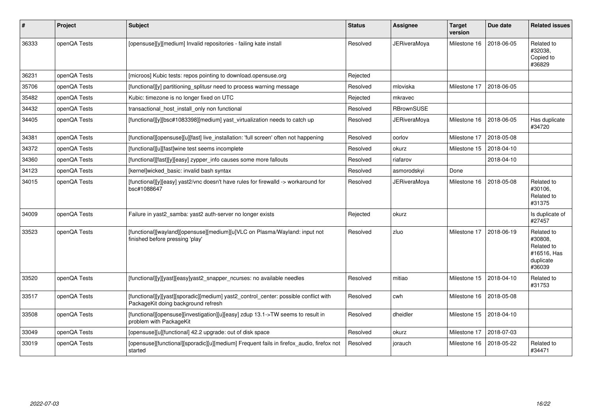| #     | Project      | <b>Subject</b>                                                                                                              | <b>Status</b> | Assignee            | <b>Target</b><br>version | Due date   | <b>Related issues</b>                                                     |
|-------|--------------|-----------------------------------------------------------------------------------------------------------------------------|---------------|---------------------|--------------------------|------------|---------------------------------------------------------------------------|
| 36333 | openQA Tests | [opensuse][y][medium] Invalid repositories - failing kate install                                                           | Resolved      | <b>JERiveraMoya</b> | Milestone 16             | 2018-06-05 | Related to<br>#32038,<br>Copied to<br>#36829                              |
| 36231 | openQA Tests | [microos] Kubic tests: repos pointing to download.opensuse.org                                                              | Rejected      |                     |                          |            |                                                                           |
| 35706 | openQA Tests | [functional][y] partitioning splitusr need to process warning message                                                       | Resolved      | mloviska            | Milestone 17             | 2018-06-05 |                                                                           |
| 35482 | openQA Tests | Kubic: timezone is no longer fixed on UTC                                                                                   | Rejected      | mkravec             |                          |            |                                                                           |
| 34432 | openQA Tests | transactional_host_install_only non functional                                                                              | Resolved      | <b>RBrownSUSE</b>   |                          |            |                                                                           |
| 34405 | openQA Tests | [functional][y][bsc#1083398][medium] yast_virtualization needs to catch up                                                  | Resolved      | JERiveraMoya        | Milestone 16             | 2018-06-05 | Has duplicate<br>#34720                                                   |
| 34381 | openQA Tests | [functional][opensuse][u][fast] live_installation: 'full screen' often not happening                                        | Resolved      | oorlov              | Milestone 17             | 2018-05-08 |                                                                           |
| 34372 | openQA Tests | [functional][u][fast]wine test seems incomplete                                                                             | Resolved      | okurz               | Milestone 15             | 2018-04-10 |                                                                           |
| 34360 | openQA Tests | [functional][fast][y][easy] zypper_info causes some more fallouts                                                           | Resolved      | riafarov            |                          | 2018-04-10 |                                                                           |
| 34123 | openQA Tests | [kernel]wicked_basic: invalid bash syntax                                                                                   | Resolved      | asmorodskyi         | Done                     |            |                                                                           |
| 34015 | openQA Tests | [functional][y][easy] yast2/vnc doesn't have rules for firewalld -> workaround for<br>bsc#1088647                           | Resolved      | JERiveraMoya        | Milestone 16             | 2018-05-08 | Related to<br>#30106.<br>Related to<br>#31375                             |
| 34009 | openQA Tests | Failure in yast2_samba: yast2 auth-server no longer exists                                                                  | Rejected      | okurz               |                          |            | Is duplicate of<br>#27457                                                 |
| 33523 | openQA Tests | [functional][wayland][opensuse][medium][u]VLC on Plasma/Wayland: input not<br>finished before pressing 'play'               | Resolved      | zluo                | Milestone 17             | 2018-06-19 | Related to<br>#30808,<br>Related to<br>#16516, Has<br>duplicate<br>#36039 |
| 33520 | openQA Tests | [functional][y][yast][easy]yast2_snapper_ncurses: no available needles                                                      | Resolved      | mitiao              | Milestone 15             | 2018-04-10 | Related to<br>#31753                                                      |
| 33517 | openQA Tests | [functional][y][yast][sporadic][medium] yast2_control_center: possible conflict with<br>PackageKit doing background refresh | Resolved      | cwh                 | Milestone 16             | 2018-05-08 |                                                                           |
| 33508 | openQA Tests | [functional][opensuse][investigation][u][easy] zdup 13.1->TW seems to result in<br>problem with PackageKit                  | Resolved      | dheidler            | Milestone 15             | 2018-04-10 |                                                                           |
| 33049 | openQA Tests | [opensuse][u][functional] 42.2 upgrade: out of disk space                                                                   | Resolved      | okurz               | Milestone 17             | 2018-07-03 |                                                                           |
| 33019 | openQA Tests | [opensuse][functional][sporadic][u][medium] Frequent fails in firefox_audio, firefox not<br>started                         | Resolved      | jorauch             | Milestone 16             | 2018-05-22 | Related to<br>#34471                                                      |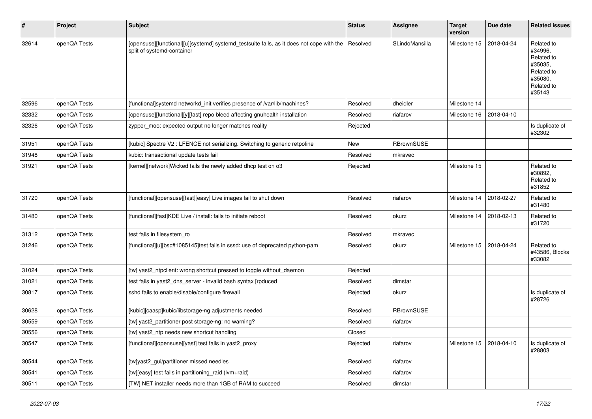| #     | Project      | <b>Subject</b>                                                                                                         | <b>Status</b> | <b>Assignee</b>   | <b>Target</b><br>version | Due date   | <b>Related issues</b>                                                                           |
|-------|--------------|------------------------------------------------------------------------------------------------------------------------|---------------|-------------------|--------------------------|------------|-------------------------------------------------------------------------------------------------|
| 32614 | openQA Tests | [opensuse][functional][u][systemd] systemd_testsuite fails, as it does not cope with the<br>split of systemd-container | Resolved      | SLindoMansilla    | Milestone 15             | 2018-04-24 | Related to<br>#34996.<br>Related to<br>#35035,<br>Related to<br>#35080,<br>Related to<br>#35143 |
| 32596 | openQA Tests | [functional]systemd networkd_init verifies presence of /var/lib/machines?                                              | Resolved      | dheidler          | Milestone 14             |            |                                                                                                 |
| 32332 | openQA Tests | [opensuse][functional][y][fast] repo bleed affecting gnuhealth installation                                            | Resolved      | riafarov          | Milestone 16             | 2018-04-10 |                                                                                                 |
| 32326 | openQA Tests | zypper moo: expected output no longer matches reality                                                                  | Rejected      |                   |                          |            | Is duplicate of<br>#32302                                                                       |
| 31951 | openQA Tests | [kubic] Spectre V2 : LFENCE not serializing. Switching to generic retpoline                                            | <b>New</b>    | RBrownSUSE        |                          |            |                                                                                                 |
| 31948 | openQA Tests | kubic: transactional update tests fail                                                                                 | Resolved      | mkravec           |                          |            |                                                                                                 |
| 31921 | openQA Tests | [kernel][network]Wicked fails the newly added dhcp test on o3                                                          | Rejected      |                   | Milestone 15             |            | Related to<br>#30892,<br>Related to<br>#31852                                                   |
| 31720 | openQA Tests | [functional][opensuse][fast][easy] Live images fail to shut down                                                       | Resolved      | riafarov          | Milestone 14             | 2018-02-27 | Related to<br>#31480                                                                            |
| 31480 | openQA Tests | [functional][fast]KDE Live / install: fails to initiate reboot                                                         | Resolved      | okurz             | Milestone 14             | 2018-02-13 | Related to<br>#31720                                                                            |
| 31312 | openQA Tests | test fails in filesystem_ro                                                                                            | Resolved      | mkravec           |                          |            |                                                                                                 |
| 31246 | openQA Tests | [functional][u][bsc#1085145]test fails in sssd: use of deprecated python-pam                                           | Resolved      | okurz             | Milestone 15             | 2018-04-24 | Related to<br>#43586, Blocks<br>#33082                                                          |
| 31024 | openQA Tests | [tw] yast2_ntpclient: wrong shortcut pressed to toggle without_daemon                                                  | Rejected      |                   |                          |            |                                                                                                 |
| 31021 | openQA Tests | test fails in yast2_dns_server - invalid bash syntax [rpduced                                                          | Resolved      | dimstar           |                          |            |                                                                                                 |
| 30817 | openQA Tests | sshd fails to enable/disable/configure firewall                                                                        | Rejected      | okurz             |                          |            | Is duplicate of<br>#28726                                                                       |
| 30628 | openQA Tests | [kubic][caasp]kubic/libstorage-ng adjustments needed                                                                   | Resolved      | <b>RBrownSUSE</b> |                          |            |                                                                                                 |
| 30559 | openQA Tests | [tw] yast2_partitioner post storage-ng: no warning?                                                                    | Resolved      | riafarov          |                          |            |                                                                                                 |
| 30556 | openQA Tests | [tw] yast2 ntp needs new shortcut handling                                                                             | Closed        |                   |                          |            |                                                                                                 |
| 30547 | openQA Tests | [functional][opensuse][yast] test fails in yast2_proxy                                                                 | Rejected      | riafarov          | Milestone 15             | 2018-04-10 | Is duplicate of<br>#28803                                                                       |
| 30544 | openQA Tests | [tw]yast2_gui/partitioner missed needles                                                                               | Resolved      | riafarov          |                          |            |                                                                                                 |
| 30541 | openQA Tests | [tw][easy] test fails in partitioning_raid (lvm+raid)                                                                  | Resolved      | riafarov          |                          |            |                                                                                                 |
| 30511 | openQA Tests | [TW] NET installer needs more than 1GB of RAM to succeed                                                               | Resolved      | dimstar           |                          |            |                                                                                                 |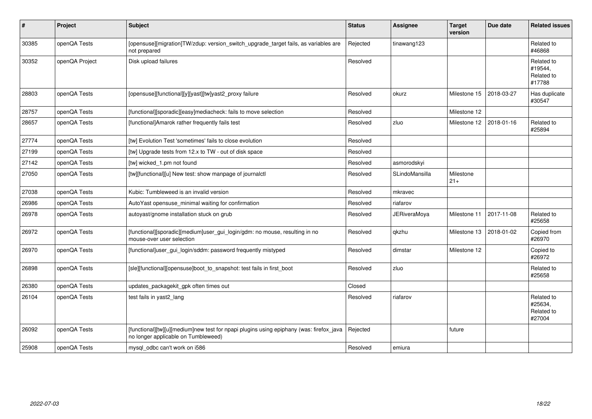| $\vert$ # | Project        | <b>Subject</b>                                                                                                                 | <b>Status</b> | <b>Assignee</b>     | <b>Target</b><br>version | Due date   | <b>Related issues</b>                         |
|-----------|----------------|--------------------------------------------------------------------------------------------------------------------------------|---------------|---------------------|--------------------------|------------|-----------------------------------------------|
| 30385     | openQA Tests   | [opensuse][migration]TW/zdup: version_switch_upgrade_target fails, as variables are<br>not prepared                            | Rejected      | tinawang123         |                          |            | Related to<br>#46868                          |
| 30352     | openQA Project | Disk upload failures                                                                                                           | Resolved      |                     |                          |            | Related to<br>#19544,<br>Related to<br>#17788 |
| 28803     | openQA Tests   | [opensuse][functional][y][yast][tw]yast2_proxy failure                                                                         | Resolved      | okurz               | Milestone 15             | 2018-03-27 | Has duplicate<br>#30547                       |
| 28757     | openQA Tests   | [functional][sporadic][easy]mediacheck: fails to move selection                                                                | Resolved      |                     | Milestone 12             |            |                                               |
| 28657     | openQA Tests   | [functional]Amarok rather frequently fails test                                                                                | Resolved      | zluo                | Milestone 12             | 2018-01-16 | Related to<br>#25894                          |
| 27774     | openQA Tests   | [tw] Evolution Test 'sometimes' fails to close evolution                                                                       | Resolved      |                     |                          |            |                                               |
| 27199     | openQA Tests   | [tw] Upgrade tests from 12.x to TW - out of disk space                                                                         | Resolved      |                     |                          |            |                                               |
| 27142     | openQA Tests   | [tw] wicked_1.pm not found                                                                                                     | Resolved      | asmorodskyi         |                          |            |                                               |
| 27050     | openQA Tests   | [tw][functional][u] New test: show manpage of journalctl                                                                       | Resolved      | SLindoMansilla      | Milestone<br>$21+$       |            |                                               |
| 27038     | openQA Tests   | Kubic: Tumbleweed is an invalid version                                                                                        | Resolved      | mkravec             |                          |            |                                               |
| 26986     | openQA Tests   | AutoYast opensuse minimal waiting for confirmation                                                                             | Resolved      | riafarov            |                          |            |                                               |
| 26978     | openQA Tests   | autoyast/gnome installation stuck on grub                                                                                      | Resolved      | <b>JERiveraMoya</b> | Milestone 11             | 2017-11-08 | Related to<br>#25658                          |
| 26972     | openQA Tests   | [functional][sporadic][medium]user_gui_login/gdm: no mouse, resulting in no<br>mouse-over user selection                       | Resolved      | qkzhu               | Milestone 13             | 2018-01-02 | Copied from<br>#26970                         |
| 26970     | openQA Tests   | [functional]user_gui_login/sddm: password frequently mistyped                                                                  | Resolved      | dimstar             | Milestone 12             |            | Copied to<br>#26972                           |
| 26898     | openQA Tests   | [sle][functional][opensuse]boot_to_snapshot: test fails in first_boot                                                          | Resolved      | zluo                |                          |            | Related to<br>#25658                          |
| 26380     | openQA Tests   | updates_packagekit_gpk often times out                                                                                         | Closed        |                     |                          |            |                                               |
| 26104     | openQA Tests   | test fails in yast2_lang                                                                                                       | Resolved      | riafarov            |                          |            | Related to<br>#25634,<br>Related to<br>#27004 |
| 26092     | openQA Tests   | [functional][tw][u][medium]new test for npapi plugins using epiphany (was: firefox_java<br>no longer applicable on Tumbleweed) | Rejected      |                     | future                   |            |                                               |
| 25908     | openQA Tests   | mysql_odbc can't work on i586                                                                                                  | Resolved      | emiura              |                          |            |                                               |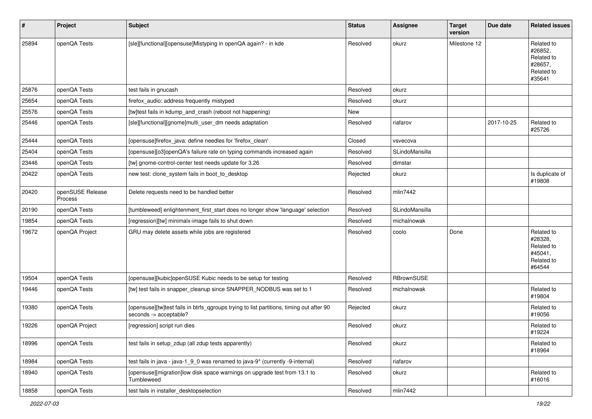| $\sharp$ | Project                            | <b>Subject</b>                                                                                                     | <b>Status</b> | <b>Assignee</b>   | <b>Target</b><br>version | Due date   | <b>Related issues</b>                                                  |
|----------|------------------------------------|--------------------------------------------------------------------------------------------------------------------|---------------|-------------------|--------------------------|------------|------------------------------------------------------------------------|
| 25894    | openQA Tests                       | [sle][functional][opensuse]Mistyping in openQA again? - in kde                                                     | Resolved      | okurz             | Milestone 12             |            | Related to<br>#26852,<br>Related to<br>#28657,<br>Related to<br>#35641 |
| 25876    | openQA Tests                       | test fails in gnucash                                                                                              | Resolved      | okurz             |                          |            |                                                                        |
| 25654    | openQA Tests                       | firefox audio: address frequently mistyped                                                                         | Resolved      | okurz             |                          |            |                                                                        |
| 25576    | openQA Tests                       | [tw]test fails in kdump_and_crash (reboot not happening)                                                           | New           |                   |                          |            |                                                                        |
| 25446    | openQA Tests                       | [sle][functional][gnome]multi_user_dm needs adaptation                                                             | Resolved      | riafarov          |                          | 2017-10-25 | Related to<br>#25726                                                   |
| 25444    | openQA Tests                       | [opensuse]firefox_java: define needles for 'firefox_clean'                                                         | Closed        | vsvecova          |                          |            |                                                                        |
| 25404    | openQA Tests                       | [opensuse][o3]openQA's failure rate on typing commands increased again                                             | Resolved      | SLindoMansilla    |                          |            |                                                                        |
| 23446    | openQA Tests                       | [tw] gnome-control-center test needs update for 3.26                                                               | Resolved      | dimstar           |                          |            |                                                                        |
| 20422    | openQA Tests                       | new test: clone_system fails in boot_to_desktop                                                                    | Rejected      | okurz             |                          |            | Is duplicate of<br>#19808                                              |
| 20420    | openSUSE Release<br><b>Process</b> | Delete requests need to be handled better                                                                          | Resolved      | mlin7442          |                          |            |                                                                        |
| 20190    | openQA Tests                       | [tumbleweed] enlightenment_first_start does no longer show 'language' selection                                    | Resolved      | SLindoMansilla    |                          |            |                                                                        |
| 19854    | openQA Tests                       | [regression][tw] minimalx-image fails to shut down                                                                 | Resolved      | michalnowak       |                          |            |                                                                        |
| 19672    | openQA Project                     | GRU may delete assets while jobs are registered                                                                    | Resolved      | coolo             | Done                     |            | Related to<br>#28328,<br>Related to<br>#45041,<br>Related to<br>#64544 |
| 19504    | openQA Tests                       | [opensuse][kubic]openSUSE Kubic needs to be setup for testing                                                      | Resolved      | <b>RBrownSUSE</b> |                          |            |                                                                        |
| 19446    | openQA Tests                       | [tw] test fails in snapper_cleanup since SNAPPER_NODBUS was set to 1                                               | Resolved      | michalnowak       |                          |            | Related to<br>#19804                                                   |
| 19380    | openQA Tests                       | [opensuse][tw]test fails in btrfs_qgroups trying to list partitions, timing out after 90<br>seconds -> acceptable? | Rejected      | okurz             |                          |            | Related to<br>#19056                                                   |
| 19226    | openQA Project                     | [regression] script run dies                                                                                       | Resolved      | okurz             |                          |            | Related to<br>#19224                                                   |
| 18996    | openQA Tests                       | test fails in setup_zdup (all zdup tests apparently)                                                               | Resolved      | okurz             |                          |            | Related to<br>#18964                                                   |
| 18984    | openQA Tests                       | test fails in java - java-1 9 0 was renamed to java-9* (currently -9-internal)                                     | Resolved      | riafarov          |                          |            |                                                                        |
| 18940    | openQA Tests                       | [opensuse][migration]low disk space warnings on upgrade test from 13.1 to<br>Tumbleweed                            | Resolved      | okurz             |                          |            | Related to<br>#16016                                                   |
| 18858    | openQA Tests                       | test fails in installer_desktopselection                                                                           | Resolved      | mlin7442          |                          |            |                                                                        |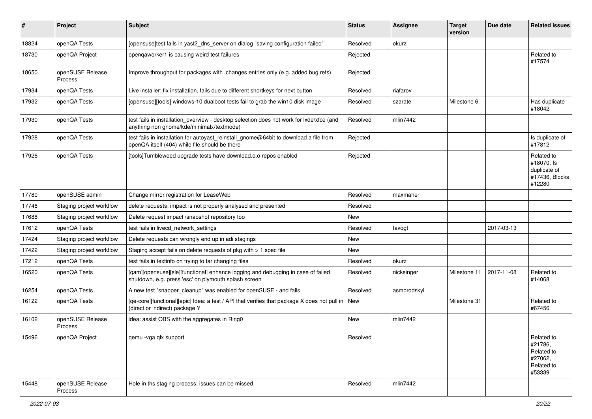| #     | Project                     | <b>Subject</b>                                                                                                                           | <b>Status</b> | Assignee    | <b>Target</b><br>version | Due date   | <b>Related issues</b>                                                  |
|-------|-----------------------------|------------------------------------------------------------------------------------------------------------------------------------------|---------------|-------------|--------------------------|------------|------------------------------------------------------------------------|
| 18824 | openQA Tests                | [opensuse]test fails in yast2_dns_server on dialog "saving configuration failed"                                                         | Resolved      | okurz       |                          |            |                                                                        |
| 18730 | openQA Project              | opengaworker1 is causing weird test failures                                                                                             | Rejected      |             |                          |            | Related to<br>#17574                                                   |
| 18650 | openSUSE Release<br>Process | Improve throughput for packages with .changes entries only (e.g. added bug refs)                                                         | Rejected      |             |                          |            |                                                                        |
| 17934 | openQA Tests                | Live installer: fix installation, fails due to different shortkeys for next button                                                       | Resolved      | riafarov    |                          |            |                                                                        |
| 17932 | openQA Tests                | [opensuse][tools] windows-10 dualboot tests fail to grab the win10 disk image                                                            | Resolved      | szarate     | Milestone 6              |            | Has duplicate<br>#18042                                                |
| 17930 | openQA Tests                | test fails in installation_overview - desktop selection does not work for lxde/xfce (and<br>anything non gnome/kde/minimalx/textmode)    | Resolved      | mlin7442    |                          |            |                                                                        |
| 17928 | openQA Tests                | test fails in installation for autoyast_reinstall_gnome@64bit to download a file from<br>openQA itself (404) while file should be there  | Rejected      |             |                          |            | Is duplicate of<br>#17812                                              |
| 17926 | openQA Tests                | [tools]Tumbleweed upgrade tests have download.o.o repos enabled                                                                          | Rejected      |             |                          |            | Related to<br>#18070, Is<br>duplicate of<br>#17436, Blocks<br>#12280   |
| 17780 | openSUSE admin              | Change mirror registration for LeaseWeb                                                                                                  | Resolved      | maxmaher    |                          |            |                                                                        |
| 17746 | Staging project workflow    | delete requests: impact is not properly analysed and presented                                                                           | Resolved      |             |                          |            |                                                                        |
| 17688 | Staging project workflow    | Delete request impact /snapshot repository too                                                                                           | <b>New</b>    |             |                          |            |                                                                        |
| 17612 | openQA Tests                | test fails in livecd_network_settings                                                                                                    | Resolved      | favogt      |                          | 2017-03-13 |                                                                        |
| 17424 | Staging project workflow    | Delete requests can wrongly end up in adi stagings                                                                                       | <b>New</b>    |             |                          |            |                                                                        |
| 17422 | Staging project workflow    | Staging accept fails on delete requests of pkg with > 1 spec file                                                                        | New           |             |                          |            |                                                                        |
| 17212 | openQA Tests                | test fails in textinfo on trying to tar changing files                                                                                   | Resolved      | okurz       |                          |            |                                                                        |
| 16520 | openQA Tests                | [qam][opensuse][sle][functional] enhance logging and debugging in case of failed<br>shutdown, e.g. press 'esc' on plymouth splash screen | Resolved      | nicksinger  | Milestone 11             | 2017-11-08 | Related to<br>#14068                                                   |
| 16254 | openQA Tests                | A new test "snapper_cleanup" was enabled for openSUSE - and fails                                                                        | Resolved      | asmorodskyi |                          |            |                                                                        |
| 16122 | openQA Tests                | [qe-core][functional][epic] Idea: a test / API that verifies that package X does not pull in<br>(direct or indirect) package Y           | <b>New</b>    |             | Milestone 31             |            | Related to<br>#67456                                                   |
| 16102 | openSUSE Release<br>Process | idea: assist OBS with the aggregates in Ring0                                                                                            | <b>New</b>    | mlin7442    |                          |            |                                                                        |
| 15496 | openQA Project              | qemu - vga qlx support                                                                                                                   | Resolved      |             |                          |            | Related to<br>#21786,<br>Related to<br>#27062,<br>Related to<br>#53339 |
| 15448 | openSUSE Release<br>Process | Hole in ths staging process: issues can be missed                                                                                        | Resolved      | mlin7442    |                          |            |                                                                        |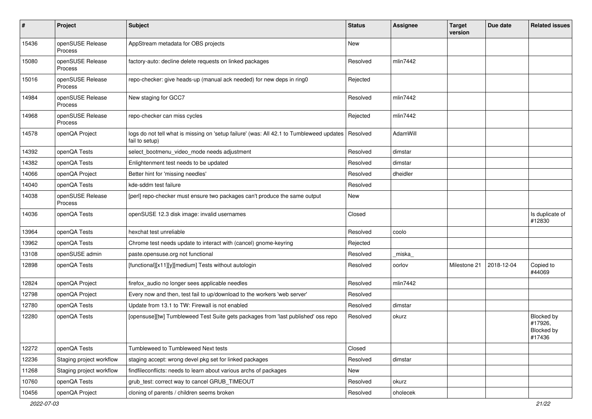| #     | Project                            | <b>Subject</b>                                                                                             | <b>Status</b> | <b>Assignee</b> | <b>Target</b><br>version | Due date   | <b>Related issues</b>                         |
|-------|------------------------------------|------------------------------------------------------------------------------------------------------------|---------------|-----------------|--------------------------|------------|-----------------------------------------------|
| 15436 | openSUSE Release<br><b>Process</b> | AppStream metadata for OBS projects                                                                        | <b>New</b>    |                 |                          |            |                                               |
| 15080 | openSUSE Release<br><b>Process</b> | factory-auto: decline delete requests on linked packages                                                   | Resolved      | mlin7442        |                          |            |                                               |
| 15016 | openSUSE Release<br>Process        | repo-checker: give heads-up (manual ack needed) for new deps in ring0                                      | Rejected      |                 |                          |            |                                               |
| 14984 | openSUSE Release<br>Process        | New staging for GCC7                                                                                       | Resolved      | mlin7442        |                          |            |                                               |
| 14968 | openSUSE Release<br>Process        | repo-checker can miss cycles                                                                               | Rejected      | mlin7442        |                          |            |                                               |
| 14578 | openQA Project                     | logs do not tell what is missing on 'setup failure' (was: All 42.1 to Tumbleweed updates<br>fail to setup) | Resolved      | AdamWill        |                          |            |                                               |
| 14392 | openQA Tests                       | select_bootmenu_video_mode needs adjustment                                                                | Resolved      | dimstar         |                          |            |                                               |
| 14382 | openQA Tests                       | Enlightenment test needs to be updated                                                                     | Resolved      | dimstar         |                          |            |                                               |
| 14066 | openQA Project                     | Better hint for 'missing needles'                                                                          | Resolved      | dheidler        |                          |            |                                               |
| 14040 | openQA Tests                       | kde-sddm test failure                                                                                      | Resolved      |                 |                          |            |                                               |
| 14038 | openSUSE Release<br>Process        | [perl] repo-checker must ensure two packages can't produce the same output                                 | <b>New</b>    |                 |                          |            |                                               |
| 14036 | openQA Tests                       | openSUSE 12.3 disk image: invalid usernames                                                                | Closed        |                 |                          |            | Is duplicate of<br>#12830                     |
| 13964 | openQA Tests                       | hexchat test unreliable                                                                                    | Resolved      | coolo           |                          |            |                                               |
| 13962 | openQA Tests                       | Chrome test needs update to interact with (cancel) gnome-keyring                                           | Rejected      |                 |                          |            |                                               |
| 13108 | openSUSE admin                     | paste.opensuse.org not functional                                                                          | Resolved      | _miska_         |                          |            |                                               |
| 12898 | openQA Tests                       | [functional][x11][y][medium] Tests without autologin                                                       | Resolved      | oorlov          | Milestone 21             | 2018-12-04 | Copied to<br>#44069                           |
| 12824 | openQA Project                     | firefox_audio no longer sees applicable needles                                                            | Resolved      | mlin7442        |                          |            |                                               |
| 12798 | openQA Project                     | Every now and then, test fail to up/download to the workers 'web server'                                   | Resolved      |                 |                          |            |                                               |
| 12780 | openQA Tests                       | Update from 13.1 to TW: Firewall is not enabled                                                            | Resolved      | dimstar         |                          |            |                                               |
| 12280 | openQA Tests                       | [opensuse][tw] Tumbleweed Test Suite gets packages from 'last published' oss repo                          | Resolved      | okurz           |                          |            | Blocked by<br>#17926,<br>Blocked by<br>#17436 |
| 12272 | openQA Tests                       | Tumbleweed to Tumbleweed Next tests                                                                        | Closed        |                 |                          |            |                                               |
| 12236 | Staging project workflow           | staging accept: wrong devel pkg set for linked packages                                                    | Resolved      | dimstar         |                          |            |                                               |
| 11268 | Staging project workflow           | findfileconflicts: needs to learn about various archs of packages                                          | New           |                 |                          |            |                                               |
| 10760 | openQA Tests                       | grub_test: correct way to cancel GRUB_TIMEOUT                                                              | Resolved      | okurz           |                          |            |                                               |
| 10456 | openQA Project                     | cloning of parents / children seems broken                                                                 | Resolved      | oholecek        |                          |            |                                               |